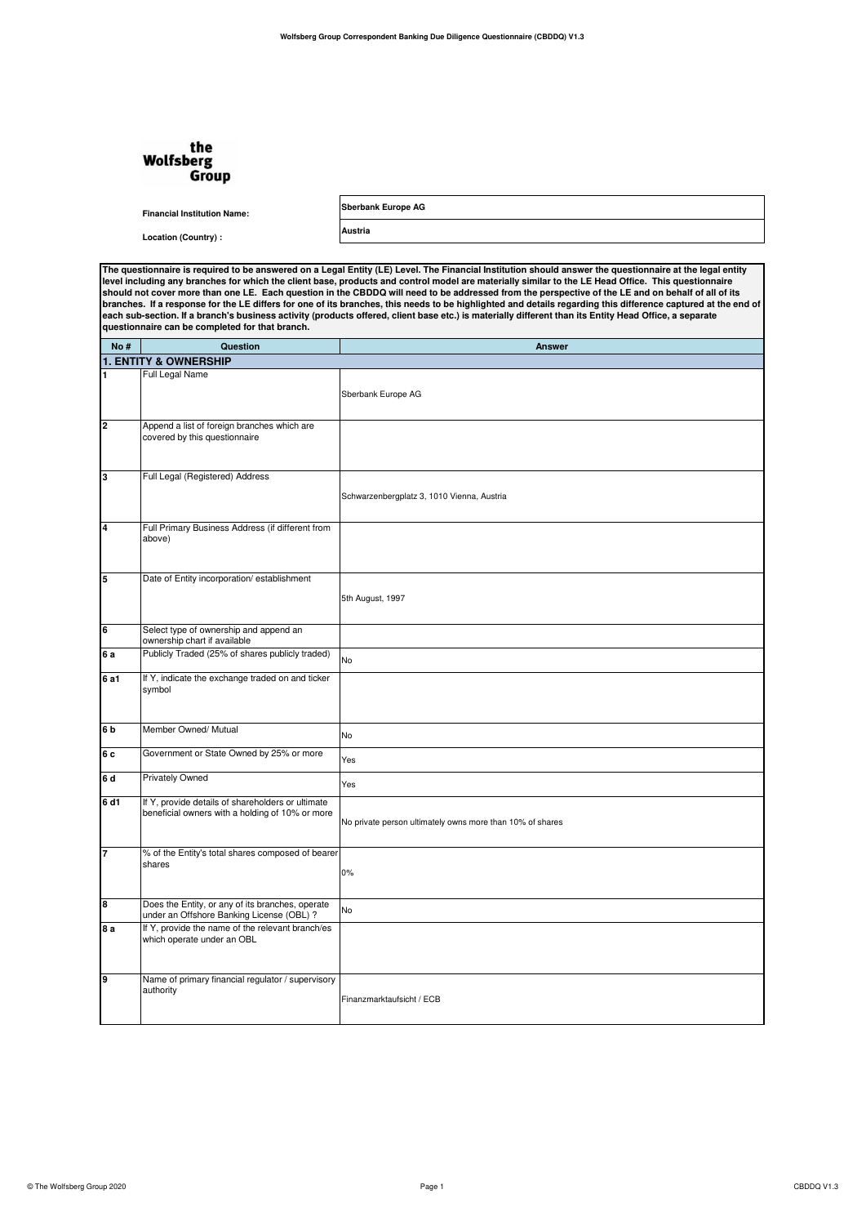## the<br>Wolfsberg Group

**Sberbank Europe AG**

**Austria**

**Financial Institution Name: Location (Country) :**

**The questionnaire is required to be answered on a Legal Entity (LE) Level. The Financial Institution should answer the questionnaire at the legal entity**  level including any branches for which the client base, products and control model are materially similar to the LE Head Office. This questionnaire<br>should not cover more than one LE. Each question in the CBDDQ will need to

| No #           | Question                                                                                             | <b>Answer</b>                                             |
|----------------|------------------------------------------------------------------------------------------------------|-----------------------------------------------------------|
|                | <b>1. ENTITY &amp; OWNERSHIP</b>                                                                     |                                                           |
| 1              | Full Legal Name                                                                                      |                                                           |
|                |                                                                                                      |                                                           |
|                |                                                                                                      | Sberbank Europe AG                                        |
|                |                                                                                                      |                                                           |
| 2              | Append a list of foreign branches which are                                                          |                                                           |
|                | covered by this questionnaire                                                                        |                                                           |
|                |                                                                                                      |                                                           |
|                |                                                                                                      |                                                           |
| Iз             | Full Legal (Registered) Address                                                                      |                                                           |
|                |                                                                                                      | Schwarzenbergplatz 3, 1010 Vienna, Austria                |
|                |                                                                                                      |                                                           |
| 4              | Full Primary Business Address (if different from                                                     |                                                           |
|                | above)                                                                                               |                                                           |
|                |                                                                                                      |                                                           |
|                |                                                                                                      |                                                           |
| 5              | Date of Entity incorporation/ establishment                                                          |                                                           |
|                |                                                                                                      | 5th August, 1997                                          |
|                |                                                                                                      |                                                           |
| 6              | Select type of ownership and append an                                                               |                                                           |
|                | ownership chart if available                                                                         |                                                           |
| 6a             | Publicly Traded (25% of shares publicly traded)                                                      |                                                           |
|                |                                                                                                      | No                                                        |
| 6 a1           | If Y, indicate the exchange traded on and ticker                                                     |                                                           |
|                | symbol                                                                                               |                                                           |
|                |                                                                                                      |                                                           |
| 6 <sub>b</sub> | Member Owned/ Mutual                                                                                 |                                                           |
|                |                                                                                                      | No                                                        |
| 6 c            | Government or State Owned by 25% or more                                                             |                                                           |
|                |                                                                                                      | Yes                                                       |
| 6d             | Privately Owned                                                                                      | Yes                                                       |
|                |                                                                                                      |                                                           |
| 6 d1           | If Y, provide details of shareholders or ultimate<br>beneficial owners with a holding of 10% or more |                                                           |
|                |                                                                                                      | No private person ultimately owns more than 10% of shares |
|                |                                                                                                      |                                                           |
| 7              | % of the Entity's total shares composed of bearer                                                    |                                                           |
|                | shares                                                                                               |                                                           |
|                |                                                                                                      | 0%                                                        |
|                |                                                                                                      |                                                           |
| 8              | Does the Entity, or any of its branches, operate                                                     | No                                                        |
|                | under an Offshore Banking License (OBL) ?                                                            |                                                           |
| 8 a            | If Y, provide the name of the relevant branch/es<br>which operate under an OBL                       |                                                           |
|                |                                                                                                      |                                                           |
|                |                                                                                                      |                                                           |
| 9              | Name of primary financial regulator / supervisory                                                    |                                                           |
|                | authority                                                                                            |                                                           |
|                |                                                                                                      | Finanzmarktaufsicht / ECB                                 |
|                |                                                                                                      |                                                           |
|                |                                                                                                      |                                                           |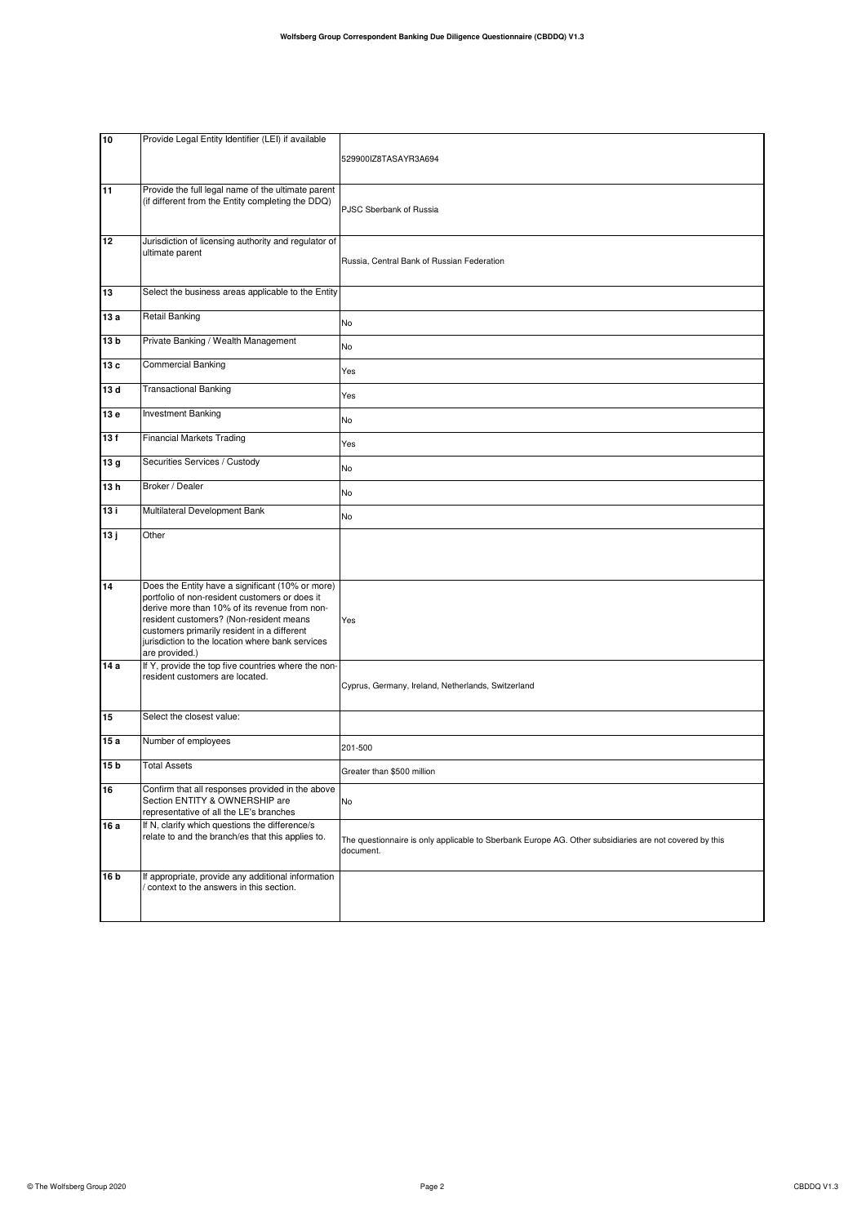| 10   | Provide Legal Entity Identifier (LEI) if available                                                                                                                                                                                                                                                                  |                                                                                                                     |
|------|---------------------------------------------------------------------------------------------------------------------------------------------------------------------------------------------------------------------------------------------------------------------------------------------------------------------|---------------------------------------------------------------------------------------------------------------------|
|      |                                                                                                                                                                                                                                                                                                                     | 529900IZ8TASAYR3A694                                                                                                |
| 11   | Provide the full legal name of the ultimate parent<br>(if different from the Entity completing the DDQ)                                                                                                                                                                                                             | PJSC Sberbank of Russia                                                                                             |
| 12   | Jurisdiction of licensing authority and regulator of<br>ultimate parent                                                                                                                                                                                                                                             | Russia, Central Bank of Russian Federation                                                                          |
| 13   | Select the business areas applicable to the Entity                                                                                                                                                                                                                                                                  |                                                                                                                     |
| 13 a | Retail Banking                                                                                                                                                                                                                                                                                                      | No                                                                                                                  |
| 13 b | Private Banking / Wealth Management                                                                                                                                                                                                                                                                                 | No                                                                                                                  |
| 13 c | <b>Commercial Banking</b>                                                                                                                                                                                                                                                                                           | Yes                                                                                                                 |
| 13 d | <b>Transactional Banking</b>                                                                                                                                                                                                                                                                                        | Yes                                                                                                                 |
| 13e  | <b>Investment Banking</b>                                                                                                                                                                                                                                                                                           | No                                                                                                                  |
| 13f  | <b>Financial Markets Trading</b>                                                                                                                                                                                                                                                                                    | Yes                                                                                                                 |
| 13g  | Securities Services / Custody                                                                                                                                                                                                                                                                                       | No                                                                                                                  |
| 13h  | Broker / Dealer                                                                                                                                                                                                                                                                                                     | No                                                                                                                  |
| 13 i | Multilateral Development Bank                                                                                                                                                                                                                                                                                       | No                                                                                                                  |
| 13j  | Other                                                                                                                                                                                                                                                                                                               |                                                                                                                     |
| 14   | Does the Entity have a significant (10% or more)<br>portfolio of non-resident customers or does it<br>derive more than 10% of its revenue from non-<br>resident customers? (Non-resident means<br>customers primarily resident in a different<br>jurisdiction to the location where bank services<br>are provided.) | Yes                                                                                                                 |
| 14 a | If Y, provide the top five countries where the non-<br>resident customers are located.                                                                                                                                                                                                                              | Cyprus, Germany, Ireland, Netherlands, Switzerland                                                                  |
| 15   | Select the closest value:                                                                                                                                                                                                                                                                                           |                                                                                                                     |
| 15 a | Number of employees                                                                                                                                                                                                                                                                                                 | 201-500                                                                                                             |
| 15 b | <b>Total Assets</b>                                                                                                                                                                                                                                                                                                 | Greater than \$500 million                                                                                          |
| 16   | Confirm that all responses provided in the above<br>Section ENTITY & OWNERSHIP are<br>representative of all the LE's branches                                                                                                                                                                                       | No                                                                                                                  |
| 16 a | If N, clarify which questions the difference/s<br>relate to and the branch/es that this applies to.                                                                                                                                                                                                                 | The questionnaire is only applicable to Sberbank Europe AG. Other subsidiaries are not covered by this<br>document. |
| 16 b | If appropriate, provide any additional information<br>context to the answers in this section.                                                                                                                                                                                                                       |                                                                                                                     |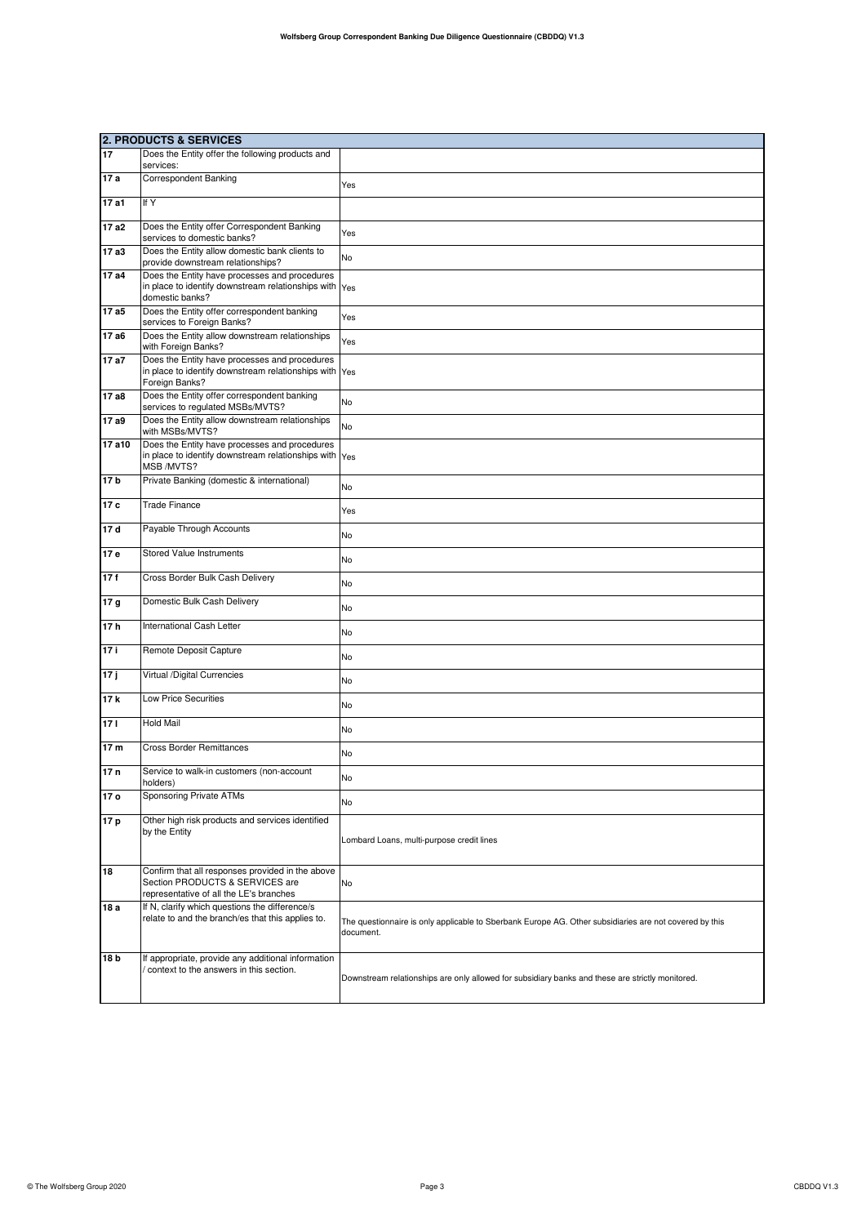|                     | <b>2. PRODUCTS &amp; SERVICES</b>                                                                                              |                                                                                                                     |
|---------------------|--------------------------------------------------------------------------------------------------------------------------------|---------------------------------------------------------------------------------------------------------------------|
| 17                  | Does the Entity offer the following products and<br>services:                                                                  |                                                                                                                     |
| 17 a                | <b>Correspondent Banking</b>                                                                                                   | Yes                                                                                                                 |
| 17a1                | If Y                                                                                                                           |                                                                                                                     |
| 17 a2               | Does the Entity offer Correspondent Banking<br>services to domestic banks?                                                     | Yes                                                                                                                 |
| 17 a3               | Does the Entity allow domestic bank clients to<br>provide downstream relationships?                                            | No                                                                                                                  |
| 17 a4               | Does the Entity have processes and procedures<br>in place to identify downstream relationships with Yes<br>domestic banks?     |                                                                                                                     |
| 17 a5               | Does the Entity offer correspondent banking<br>services to Foreign Banks?                                                      | Yes                                                                                                                 |
| 17 a6               | Does the Entity allow downstream relationships<br>with Foreign Banks?                                                          | Yes                                                                                                                 |
| 17 a7               | Does the Entity have processes and procedures<br>in place to identify downstream relationships with Yes<br>Foreign Banks?      |                                                                                                                     |
| 17 a8               | Does the Entity offer correspondent banking<br>services to regulated MSBs/MVTS?                                                | No                                                                                                                  |
| 17a9                | Does the Entity allow downstream relationships<br>with MSBs/MVTS?                                                              | <b>No</b>                                                                                                           |
| $\overline{17}$ a10 | Does the Entity have processes and procedures<br>in place to identify downstream relationships with Yes<br>MSB /MVTS?          |                                                                                                                     |
| 17 <sub>b</sub>     | Private Banking (domestic & international)                                                                                     | No                                                                                                                  |
| 17 c                | <b>Trade Finance</b>                                                                                                           | Yes                                                                                                                 |
| 17d                 | Payable Through Accounts                                                                                                       | No                                                                                                                  |
| 17 e                | Stored Value Instruments                                                                                                       | No                                                                                                                  |
| 17f                 | Cross Border Bulk Cash Delivery                                                                                                | No                                                                                                                  |
| 17 <sub>g</sub>     | Domestic Bulk Cash Delivery                                                                                                    | No                                                                                                                  |
| 17 <sub>h</sub>     | International Cash Letter                                                                                                      | No                                                                                                                  |
| 17i                 | Remote Deposit Capture                                                                                                         | No                                                                                                                  |
| 17j                 | Virtual /Digital Currencies                                                                                                    | No                                                                                                                  |
| 17k                 | <b>Low Price Securities</b>                                                                                                    | No                                                                                                                  |
| 171                 | <b>Hold Mail</b>                                                                                                               | No                                                                                                                  |
| 17 <sub>m</sub>     | <b>Cross Border Remittances</b>                                                                                                | No                                                                                                                  |
| 17n                 | Service to walk-in customers (non-account<br>holders)                                                                          | No                                                                                                                  |
| 17 <sub>o</sub>     | Sponsoring Private ATMs                                                                                                        | No                                                                                                                  |
| 17 p                | Other high risk products and services identified<br>by the Entity                                                              | Lombard Loans, multi-purpose credit lines                                                                           |
| 18                  | Confirm that all responses provided in the above<br>Section PRODUCTS & SERVICES are<br>representative of all the LE's branches | No                                                                                                                  |
| 18 a                | If N, clarify which questions the difference/s<br>relate to and the branch/es that this applies to.                            | The questionnaire is only applicable to Sberbank Europe AG. Other subsidiaries are not covered by this<br>document. |
| 18 b                | If appropriate, provide any additional information<br>/ context to the answers in this section.                                | Downstream relationships are only allowed for subsidiary banks and these are strictly monitored.                    |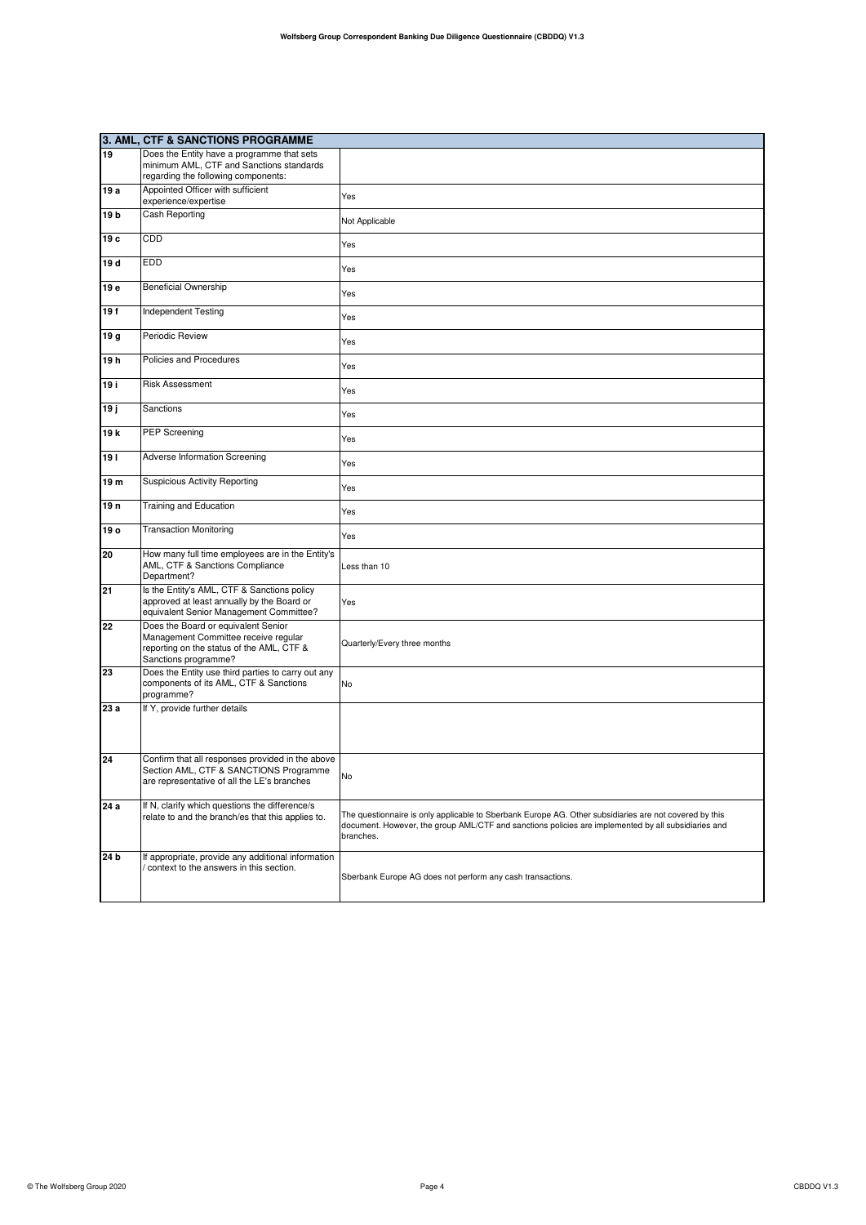|                 | 3. AML, CTF & SANCTIONS PROGRAMME                                                                                                                |                                                                                                                                                                                                                            |
|-----------------|--------------------------------------------------------------------------------------------------------------------------------------------------|----------------------------------------------------------------------------------------------------------------------------------------------------------------------------------------------------------------------------|
| 19              | Does the Entity have a programme that sets<br>minimum AML, CTF and Sanctions standards<br>regarding the following components:                    |                                                                                                                                                                                                                            |
| 19 a            | Appointed Officer with sufficient<br>experience/expertise                                                                                        | Yes                                                                                                                                                                                                                        |
| 19 <sub>b</sub> | Cash Reporting                                                                                                                                   | Not Applicable                                                                                                                                                                                                             |
| 19 с            | CDD                                                                                                                                              | Yes                                                                                                                                                                                                                        |
| 19 d            | <b>EDD</b>                                                                                                                                       | Yes                                                                                                                                                                                                                        |
| 19 e            | <b>Beneficial Ownership</b>                                                                                                                      | Yes                                                                                                                                                                                                                        |
| 19f             | Independent Testing                                                                                                                              | Yes                                                                                                                                                                                                                        |
| 19 g            | Periodic Review                                                                                                                                  | Yes                                                                                                                                                                                                                        |
| 19 h            | Policies and Procedures                                                                                                                          | Yes                                                                                                                                                                                                                        |
| 19 i            | <b>Risk Assessment</b>                                                                                                                           | Yes                                                                                                                                                                                                                        |
| 19 ј            | Sanctions                                                                                                                                        | Yes                                                                                                                                                                                                                        |
| 19 k            | <b>PEP Screening</b>                                                                                                                             | Yes                                                                                                                                                                                                                        |
| 191             | Adverse Information Screening                                                                                                                    | Yes                                                                                                                                                                                                                        |
| 19 m            | <b>Suspicious Activity Reporting</b>                                                                                                             | Yes                                                                                                                                                                                                                        |
| 19 <sub>n</sub> | Training and Education                                                                                                                           | Yes                                                                                                                                                                                                                        |
| 19 o            | <b>Transaction Monitoring</b>                                                                                                                    | Yes                                                                                                                                                                                                                        |
| 20              | How many full time employees are in the Entity's<br>AML, CTF & Sanctions Compliance<br>Department?                                               | Less than 10                                                                                                                                                                                                               |
| 21              | Is the Entity's AML, CTF & Sanctions policy<br>approved at least annually by the Board or<br>equivalent Senior Management Committee?             | Yes                                                                                                                                                                                                                        |
| 22              | Does the Board or equivalent Senior<br>Management Committee receive regular<br>reporting on the status of the AML, CTF &<br>Sanctions programme? | Quarterly/Every three months                                                                                                                                                                                               |
| 23              | Does the Entity use third parties to carry out any<br>components of its AML, CTF & Sanctions<br>programme?                                       | No                                                                                                                                                                                                                         |
| 23 a            | If Y, provide further details                                                                                                                    |                                                                                                                                                                                                                            |
| 24              | Confirm that all responses provided in the above<br>Section AML, CTF & SANCTIONS Programme<br>are representative of all the LE's branches        | No                                                                                                                                                                                                                         |
| 24 a            | If N, clarify which questions the difference/s<br>relate to and the branch/es that this applies to.                                              | The questionnaire is only applicable to Sberbank Europe AG. Other subsidiaries are not covered by this<br>document. However, the group AML/CTF and sanctions policies are implemented by all subsidiaries and<br>branches. |
| 24 b            | If appropriate, provide any additional information<br>context to the answers in this section.                                                    | Sberbank Europe AG does not perform any cash transactions.                                                                                                                                                                 |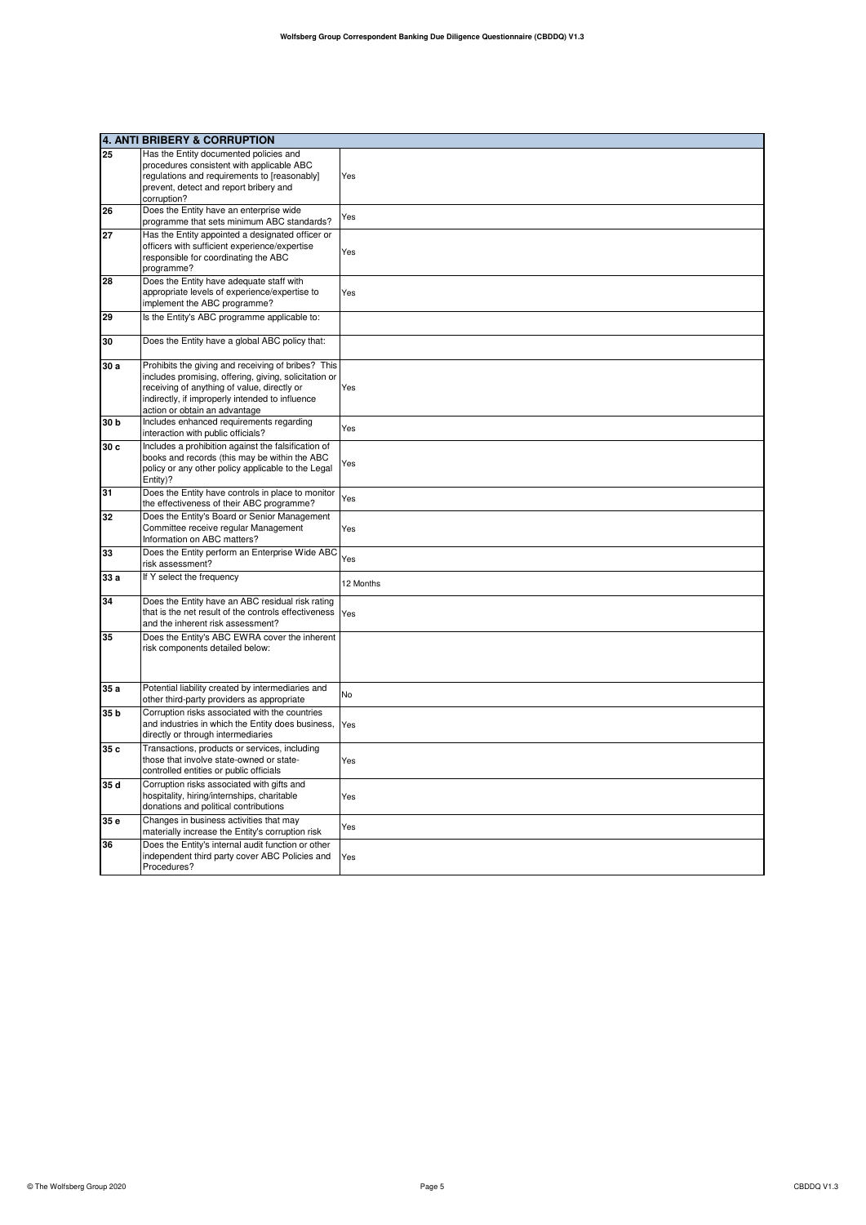|                 | 4. ANTI BRIBERY & CORRUPTION                                                                                                                                                                                                                   |           |
|-----------------|------------------------------------------------------------------------------------------------------------------------------------------------------------------------------------------------------------------------------------------------|-----------|
| 25              | Has the Entity documented policies and<br>procedures consistent with applicable ABC<br>regulations and requirements to [reasonably]<br>prevent, detect and report bribery and<br>corruption?                                                   | Yes       |
| 26              | Does the Entity have an enterprise wide<br>programme that sets minimum ABC standards?                                                                                                                                                          | Yes       |
| 27              | Has the Entity appointed a designated officer or<br>officers with sufficient experience/expertise<br>responsible for coordinating the ABC<br>programme?                                                                                        | Yes       |
| 28              | Does the Entity have adequate staff with<br>appropriate levels of experience/expertise to<br>implement the ABC programme?                                                                                                                      | Yes       |
| 29              | Is the Entity's ABC programme applicable to:                                                                                                                                                                                                   |           |
| 30              | Does the Entity have a global ABC policy that:                                                                                                                                                                                                 |           |
| 30a             | Prohibits the giving and receiving of bribes? This<br>includes promising, offering, giving, solicitation or<br>receiving of anything of value, directly or<br>indirectly, if improperly intended to influence<br>action or obtain an advantage | Yes       |
| 30 <sub>b</sub> | Includes enhanced requirements regarding<br>interaction with public officials?                                                                                                                                                                 | Yes       |
| 30c             | Includes a prohibition against the falsification of<br>books and records (this may be within the ABC<br>policy or any other policy applicable to the Legal<br>Entity)?                                                                         | Yes       |
| 31              | Does the Entity have controls in place to monitor<br>the effectiveness of their ABC programme?                                                                                                                                                 | Yes       |
| 32              | Does the Entity's Board or Senior Management<br>Committee receive regular Management<br>Information on ABC matters?                                                                                                                            | Yes       |
| 33              | Does the Entity perform an Enterprise Wide ABC<br>risk assessment?                                                                                                                                                                             | Yes       |
| 33 a            | If Y select the frequency                                                                                                                                                                                                                      | 12 Months |
| 34              | Does the Entity have an ABC residual risk rating<br>that is the net result of the controls effectiveness<br>and the inherent risk assessment?                                                                                                  | Yes       |
| 35              | Does the Entity's ABC EWRA cover the inherent<br>risk components detailed below:                                                                                                                                                               |           |
| 35 a            | Potential liability created by intermediaries and<br>other third-party providers as appropriate                                                                                                                                                | No        |
| 35 <sub>b</sub> | Corruption risks associated with the countries<br>and industries in which the Entity does business,<br>directly or through intermediaries                                                                                                      | Yes       |
| 35c             | Transactions, products or services, including<br>those that involve state-owned or state-<br>controlled entities or public officials                                                                                                           | Yes       |
| 35d             | Corruption risks associated with gifts and<br>hospitality, hiring/internships, charitable<br>donations and political contributions                                                                                                             | Yes       |
| 35 e            | Changes in business activities that may<br>materially increase the Entity's corruption risk                                                                                                                                                    | Yes       |
| 36              | Does the Entity's internal audit function or other<br>independent third party cover ABC Policies and<br>Procedures?                                                                                                                            | Yes       |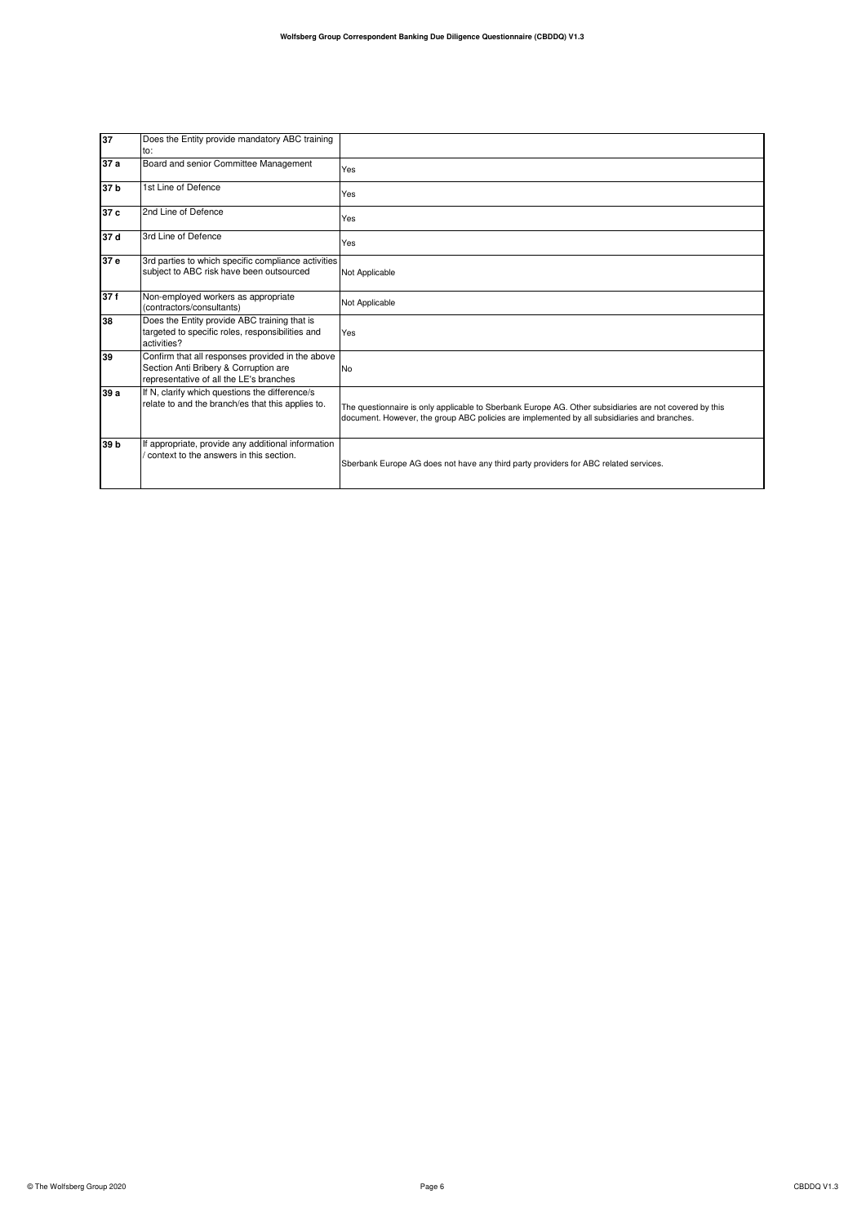| 37   | Does the Entity provide mandatory ABC training<br>to:                                                                                |                                                                                                                                                                                                       |
|------|--------------------------------------------------------------------------------------------------------------------------------------|-------------------------------------------------------------------------------------------------------------------------------------------------------------------------------------------------------|
| 37 a | Board and senior Committee Management                                                                                                | Yes                                                                                                                                                                                                   |
| 37 b | 1st Line of Defence                                                                                                                  | Yes                                                                                                                                                                                                   |
| 37 c | 2nd Line of Defence                                                                                                                  | Yes                                                                                                                                                                                                   |
| 37 d | 3rd Line of Defence                                                                                                                  | Yes                                                                                                                                                                                                   |
| 37 e | 3rd parties to which specific compliance activities<br>subject to ABC risk have been outsourced                                      | Not Applicable                                                                                                                                                                                        |
| 37f  | Non-employed workers as appropriate<br>(contractors/consultants)                                                                     | Not Applicable                                                                                                                                                                                        |
| 38   | Does the Entity provide ABC training that is<br>targeted to specific roles, responsibilities and<br>activities?                      | Yes                                                                                                                                                                                                   |
| 39   | Confirm that all responses provided in the above<br>Section Anti Bribery & Corruption are<br>representative of all the LE's branches | <b>No</b>                                                                                                                                                                                             |
| 39a  | If N, clarify which questions the difference/s<br>relate to and the branch/es that this applies to.                                  | The questionnaire is only applicable to Sberbank Europe AG. Other subsidiaries are not covered by this<br>document. However, the group ABC policies are implemented by all subsidiaries and branches. |
| 39 b | If appropriate, provide any additional information<br>context to the answers in this section.                                        | Sberbank Europe AG does not have any third party providers for ABC related services.                                                                                                                  |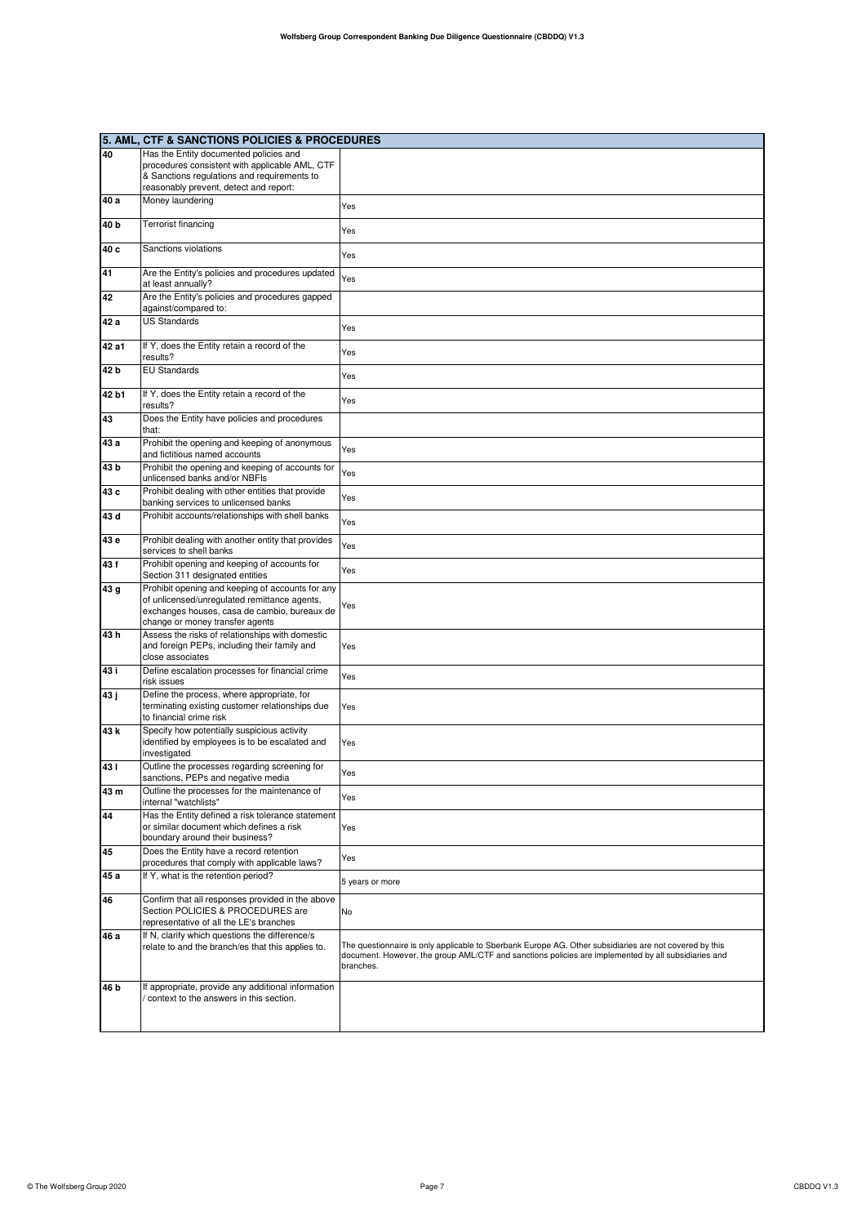|       | 5. AML, CTF & SANCTIONS POLICIES & PROCEDURES                                                                                    |                                                                                                                                                                                                                            |
|-------|----------------------------------------------------------------------------------------------------------------------------------|----------------------------------------------------------------------------------------------------------------------------------------------------------------------------------------------------------------------------|
| 40    | Has the Entity documented policies and                                                                                           |                                                                                                                                                                                                                            |
|       | procedures consistent with applicable AML, CTF                                                                                   |                                                                                                                                                                                                                            |
|       | & Sanctions regulations and requirements to                                                                                      |                                                                                                                                                                                                                            |
|       | reasonably prevent, detect and report:                                                                                           |                                                                                                                                                                                                                            |
| 40 a  | Money laundering                                                                                                                 | Yes                                                                                                                                                                                                                        |
| 40 b  | Terrorist financing                                                                                                              | Yes                                                                                                                                                                                                                        |
| 40 с  | Sanctions violations                                                                                                             | Yes                                                                                                                                                                                                                        |
| 41    | Are the Entity's policies and procedures updated<br>at least annually?                                                           | Yes                                                                                                                                                                                                                        |
| 42    | Are the Entity's policies and procedures gapped<br>against/compared to:                                                          |                                                                                                                                                                                                                            |
| 42 a  | <b>US Standards</b>                                                                                                              | Yes                                                                                                                                                                                                                        |
| 42 a1 | If Y, does the Entity retain a record of the<br>results?                                                                         | Yes                                                                                                                                                                                                                        |
| 42 b  | <b>EU Standards</b>                                                                                                              | Yes                                                                                                                                                                                                                        |
| 42 b1 | If Y, does the Entity retain a record of the<br>results?                                                                         | Yes                                                                                                                                                                                                                        |
| 43    | Does the Entity have policies and procedures                                                                                     |                                                                                                                                                                                                                            |
| 43 а  | that:<br>Prohibit the opening and keeping of anonymous                                                                           | Yes                                                                                                                                                                                                                        |
| 43 b  | and fictitious named accounts<br>Prohibit the opening and keeping of accounts for<br>unlicensed banks and/or NBFIs               | Yes                                                                                                                                                                                                                        |
| 43 с  | Prohibit dealing with other entities that provide                                                                                | Yes                                                                                                                                                                                                                        |
| 43 d  | banking services to unlicensed banks<br>Prohibit accounts/relationships with shell banks                                         | Yes                                                                                                                                                                                                                        |
| 43 е  | Prohibit dealing with another entity that provides                                                                               | Yes                                                                                                                                                                                                                        |
| 43 f  | services to shell banks<br>Prohibit opening and keeping of accounts for                                                          | Yes                                                                                                                                                                                                                        |
| 43 g  | Section 311 designated entities<br>Prohibit opening and keeping of accounts for any                                              |                                                                                                                                                                                                                            |
|       | of unlicensed/unregulated remittance agents,<br>exchanges houses, casa de cambio, bureaux de<br>change or money transfer agents  | Yes                                                                                                                                                                                                                        |
| 43 h  | Assess the risks of relationships with domestic<br>and foreign PEPs, including their family and<br>close associates              | Yes                                                                                                                                                                                                                        |
| 43 i  | Define escalation processes for financial crime<br>risk issues                                                                   | Yes                                                                                                                                                                                                                        |
| 43 ј  | Define the process, where appropriate, for<br>terminating existing customer relationships due<br>to financial crime risk         | Yes                                                                                                                                                                                                                        |
| 43 k  | Specify how potentially suspicious activity<br>identified by employees is to be escalated and<br>investigated                    | Yes                                                                                                                                                                                                                        |
| 43 I  | Outline the processes regarding screening for<br>sanctions, PEPs and negative media                                              | Yes                                                                                                                                                                                                                        |
| 43 m  | Outline the processes for the maintenance of<br>internal "watchlists"                                                            | Yes                                                                                                                                                                                                                        |
| 44    | Has the Entity defined a risk tolerance statement<br>or similar document which defines a risk<br>boundary around their business? | Yes                                                                                                                                                                                                                        |
| 45    | Does the Entity have a record retention<br>procedures that comply with applicable laws?                                          | Yes                                                                                                                                                                                                                        |
| 45 a  | If Y, what is the retention period?                                                                                              | 5 years or more                                                                                                                                                                                                            |
| 46    | Confirm that all responses provided in the above<br>Section POLICIES & PROCEDURES are                                            | No                                                                                                                                                                                                                         |
|       | representative of all the LE's branches<br>If N, clarify which questions the difference/s                                        |                                                                                                                                                                                                                            |
| 46 a  | relate to and the branch/es that this applies to.                                                                                | The questionnaire is only applicable to Sberbank Europe AG. Other subsidiaries are not covered by this<br>document. However, the group AML/CTF and sanctions policies are implemented by all subsidiaries and<br>branches. |
| 46 b  | If appropriate, provide any additional information<br>context to the answers in this section.                                    |                                                                                                                                                                                                                            |
|       |                                                                                                                                  |                                                                                                                                                                                                                            |
|       |                                                                                                                                  |                                                                                                                                                                                                                            |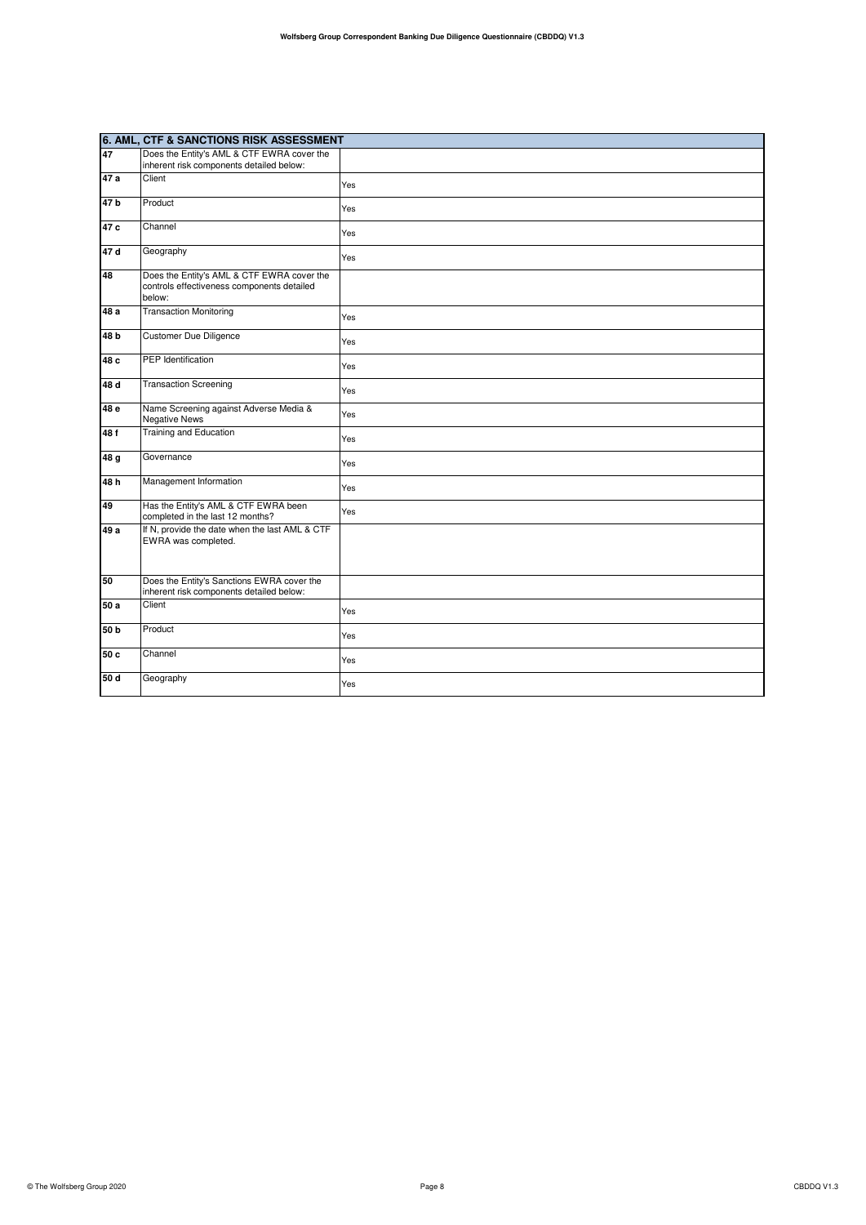|                 | 6. AML, CTF & SANCTIONS RISK ASSESSMENT                                                            |     |
|-----------------|----------------------------------------------------------------------------------------------------|-----|
| 47              | Does the Entity's AML & CTF EWRA cover the                                                         |     |
|                 | inherent risk components detailed below:                                                           |     |
| 47 a            | Client                                                                                             | Yes |
| 47 <sub>b</sub> | Product                                                                                            | Yes |
| 47 c            | Channel                                                                                            | Yes |
| 47 d            | Geography                                                                                          | Yes |
| 48              | Does the Entity's AML & CTF EWRA cover the<br>controls effectiveness components detailed<br>below: |     |
| 48 a            | <b>Transaction Monitoring</b>                                                                      | Yes |
| 48 <sub>b</sub> | <b>Customer Due Diligence</b>                                                                      | Yes |
| 48 c            | <b>PEP</b> Identification                                                                          | Yes |
| 48 d            | <b>Transaction Screening</b>                                                                       | Yes |
| 48 e            | Name Screening against Adverse Media &<br><b>Negative News</b>                                     | Yes |
| 48 f            | <b>Training and Education</b>                                                                      | Yes |
| 48 g            | Governance                                                                                         | Yes |
| 48h             | Management Information                                                                             | Yes |
| 49              | Has the Entity's AML & CTF EWRA been<br>completed in the last 12 months?                           | Yes |
| 49 a            | If N, provide the date when the last AML & CTF<br>EWRA was completed.                              |     |
| 50              | Does the Entity's Sanctions EWRA cover the<br>inherent risk components detailed below:             |     |
| 50 a            | Client                                                                                             | Yes |
| 50 <sub>b</sub> | Product                                                                                            | Yes |
| 50c             | Channel                                                                                            | Yes |
| 50 d            | Geography                                                                                          | Yes |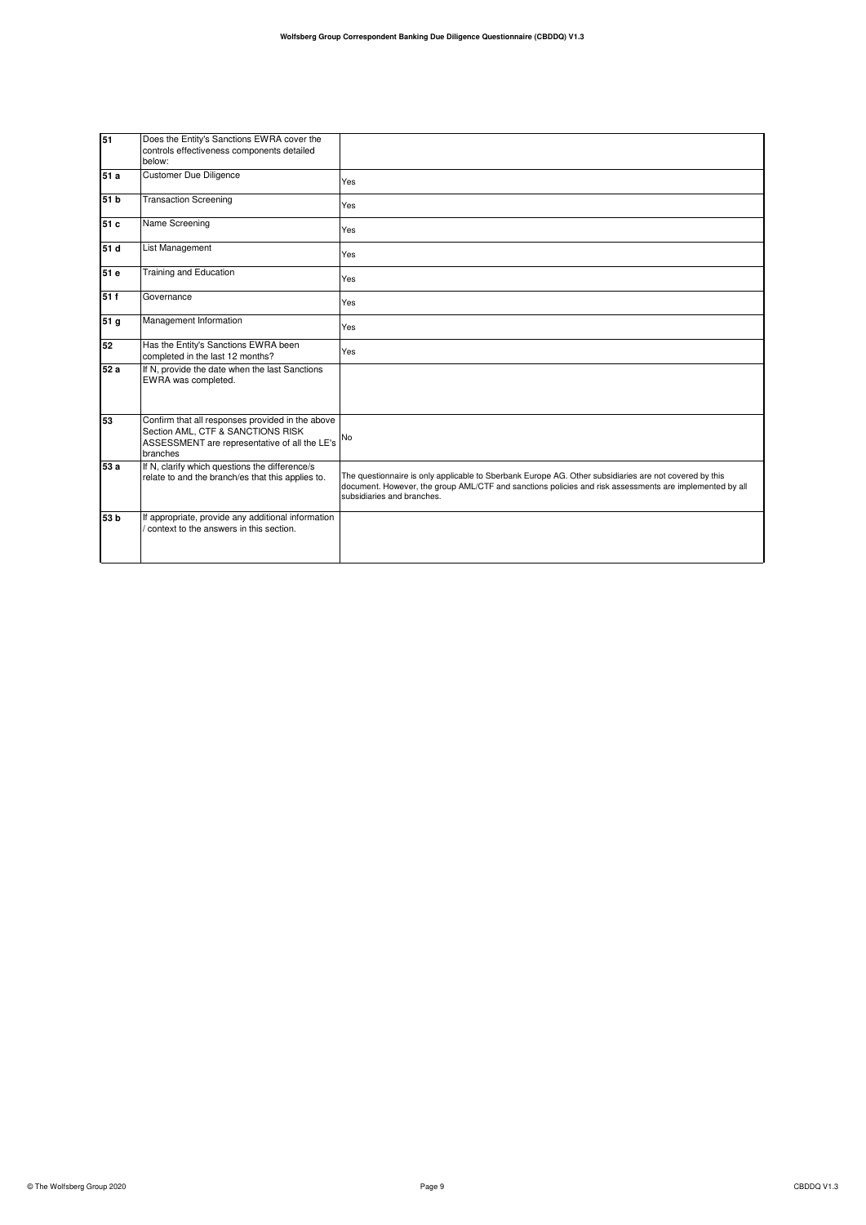| 51              | Does the Entity's Sanctions EWRA cover the<br>controls effectiveness components detailed<br>below:                                                 |                                                                                                                                                                                                                                                 |
|-----------------|----------------------------------------------------------------------------------------------------------------------------------------------------|-------------------------------------------------------------------------------------------------------------------------------------------------------------------------------------------------------------------------------------------------|
| 51 a            | <b>Customer Due Diligence</b>                                                                                                                      | Yes                                                                                                                                                                                                                                             |
| 51 <sub>b</sub> | <b>Transaction Screening</b>                                                                                                                       | Yes                                                                                                                                                                                                                                             |
| 51 c            | Name Screening                                                                                                                                     | Yes                                                                                                                                                                                                                                             |
| 51 d            | List Management                                                                                                                                    | Yes                                                                                                                                                                                                                                             |
| 51 e            | Training and Education                                                                                                                             | Yes                                                                                                                                                                                                                                             |
| 51f             | Governance                                                                                                                                         | Yes                                                                                                                                                                                                                                             |
| 51 <sub>g</sub> | Management Information                                                                                                                             | Yes                                                                                                                                                                                                                                             |
| 52              | Has the Entity's Sanctions EWRA been<br>completed in the last 12 months?                                                                           | Yes                                                                                                                                                                                                                                             |
| 52 a            | If N, provide the date when the last Sanctions<br>EWRA was completed.                                                                              |                                                                                                                                                                                                                                                 |
| 53              | Confirm that all responses provided in the above<br>Section AML, CTF & SANCTIONS RISK<br>ASSESSMENT are representative of all the LE's<br>branches | No                                                                                                                                                                                                                                              |
| 53 a            | If N, clarify which questions the difference/s<br>relate to and the branch/es that this applies to.                                                | The questionnaire is only applicable to Sberbank Europe AG. Other subsidiaries are not covered by this<br>document. However, the group AML/CTF and sanctions policies and risk assessments are implemented by all<br>subsidiaries and branches. |
| 53 <sub>b</sub> | If appropriate, provide any additional information<br>context to the answers in this section.                                                      |                                                                                                                                                                                                                                                 |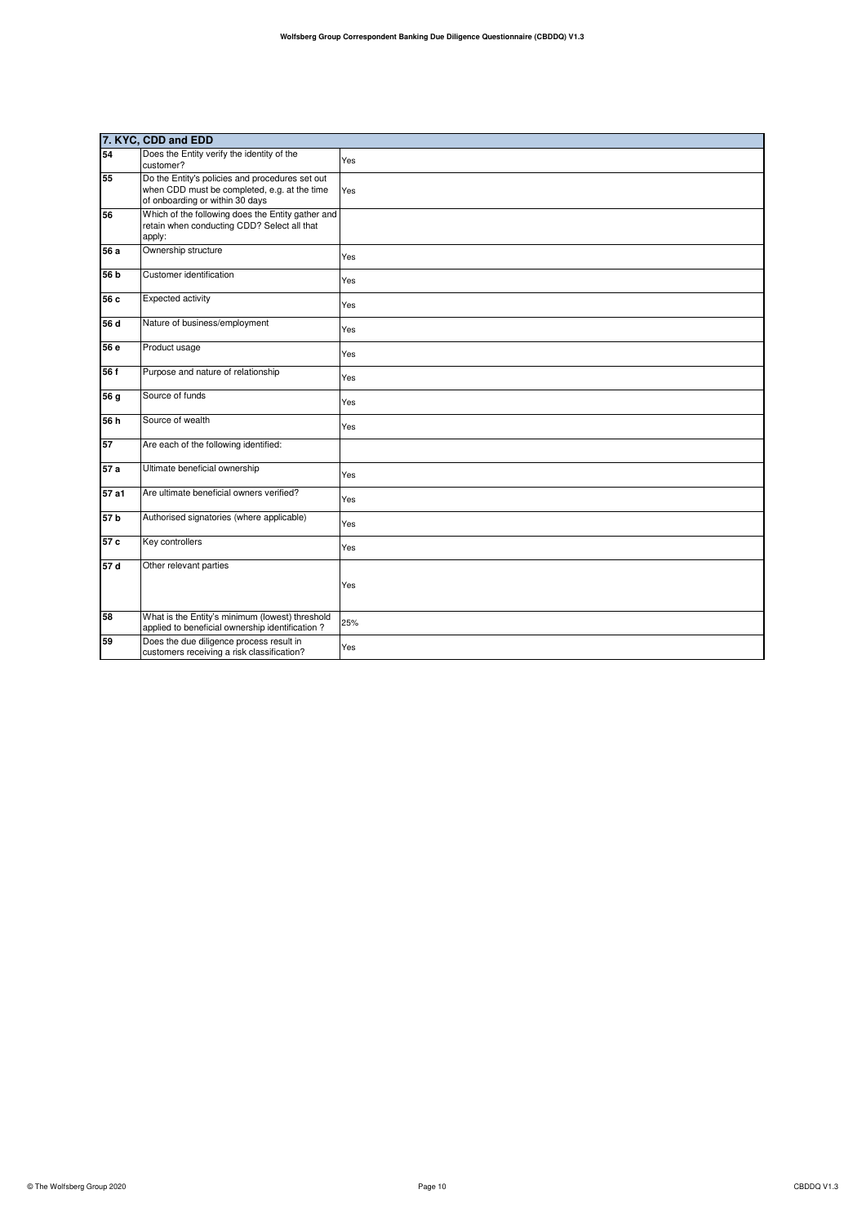|                 | 7. KYC, CDD and EDD                                                                                                                |     |
|-----------------|------------------------------------------------------------------------------------------------------------------------------------|-----|
| 54              | Does the Entity verify the identity of the<br>customer?                                                                            | Yes |
| 55              | Do the Entity's policies and procedures set out<br>when CDD must be completed, e.g. at the time<br>of onboarding or within 30 days | Yes |
| 56              | Which of the following does the Entity gather and<br>retain when conducting CDD? Select all that<br>apply:                         |     |
| 56 a            | Ownership structure                                                                                                                | Yes |
| 56 b            | Customer identification                                                                                                            | Yes |
| 56 c            | Expected activity                                                                                                                  | Yes |
| 56 d            | Nature of business/employment                                                                                                      | Yes |
| 56 e            | Product usage                                                                                                                      | Yes |
| 56 f            | Purpose and nature of relationship                                                                                                 | Yes |
| 56 g            | Source of funds                                                                                                                    | Yes |
| 56h             | Source of wealth                                                                                                                   | Yes |
| 57              | Are each of the following identified:                                                                                              |     |
| 57a             | Ultimate beneficial ownership                                                                                                      | Yes |
| 57 a1           | Are ultimate beneficial owners verified?                                                                                           | Yes |
| 57 <sub>b</sub> | Authorised signatories (where applicable)                                                                                          | Yes |
| 57 c            | Key controllers                                                                                                                    | Yes |
| 57d             | Other relevant parties                                                                                                             | Yes |
| 58              | What is the Entity's minimum (lowest) threshold<br>applied to beneficial ownership identification?                                 | 25% |
| 59              | Does the due diligence process result in<br>customers receiving a risk classification?                                             | Yes |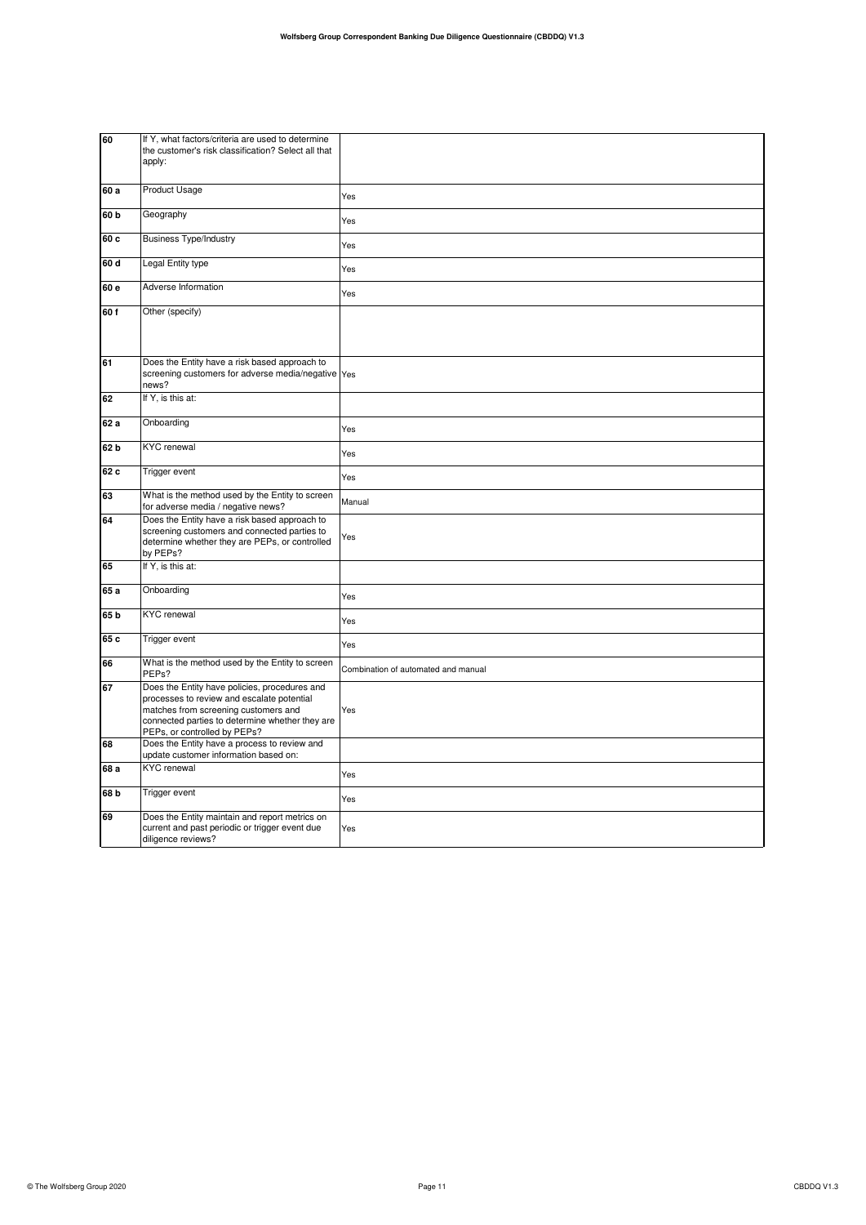| 60              | If Y, what factors/criteria are used to determine<br>the customer's risk classification? Select all that<br>apply:                                                                                                     |                                     |
|-----------------|------------------------------------------------------------------------------------------------------------------------------------------------------------------------------------------------------------------------|-------------------------------------|
| 60 a            | Product Usage                                                                                                                                                                                                          | Yes                                 |
| 60 <sub>b</sub> | Geography                                                                                                                                                                                                              | Yes                                 |
| 60 c            | <b>Business Type/Industry</b>                                                                                                                                                                                          | Yes                                 |
| 60 d            | Legal Entity type                                                                                                                                                                                                      | Yes                                 |
| 60 e            | Adverse Information                                                                                                                                                                                                    | Yes                                 |
| 60f             | Other (specify)                                                                                                                                                                                                        |                                     |
| 61              | Does the Entity have a risk based approach to<br>screening customers for adverse media/negative Yes<br>news?                                                                                                           |                                     |
| 62              | If Y, is this at:                                                                                                                                                                                                      |                                     |
| 62 a            | Onboarding                                                                                                                                                                                                             | Yes                                 |
| 62 b            | <b>KYC</b> renewal                                                                                                                                                                                                     | Yes                                 |
| 62 c            | Trigger event                                                                                                                                                                                                          | Yes                                 |
| 63              | What is the method used by the Entity to screen<br>for adverse media / negative news?                                                                                                                                  | Manual                              |
| 64              | Does the Entity have a risk based approach to<br>screening customers and connected parties to<br>determine whether they are PEPs, or controlled<br>by PEPs?                                                            | Yes                                 |
| 65              | If Y, is this at:                                                                                                                                                                                                      |                                     |
| 65 a            | Onboarding                                                                                                                                                                                                             | Yes                                 |
| 65 b            | <b>KYC</b> renewal                                                                                                                                                                                                     | Yes                                 |
| 65 c            | Trigger event                                                                                                                                                                                                          | Yes                                 |
| 66              | What is the method used by the Entity to screen<br>PEPs?                                                                                                                                                               | Combination of automated and manual |
| 67              | Does the Entity have policies, procedures and<br>processes to review and escalate potential<br>matches from screening customers and<br>connected parties to determine whether they are<br>PEPs, or controlled by PEPs? | Yes                                 |
| 68              | Does the Entity have a process to review and<br>update customer information based on:                                                                                                                                  |                                     |
| 68 a            | <b>KYC</b> renewal                                                                                                                                                                                                     | Yes                                 |
| 68 b            | Trigger event                                                                                                                                                                                                          | Yes                                 |
| 69              | Does the Entity maintain and report metrics on<br>current and past periodic or trigger event due<br>diligence reviews?                                                                                                 | Yes                                 |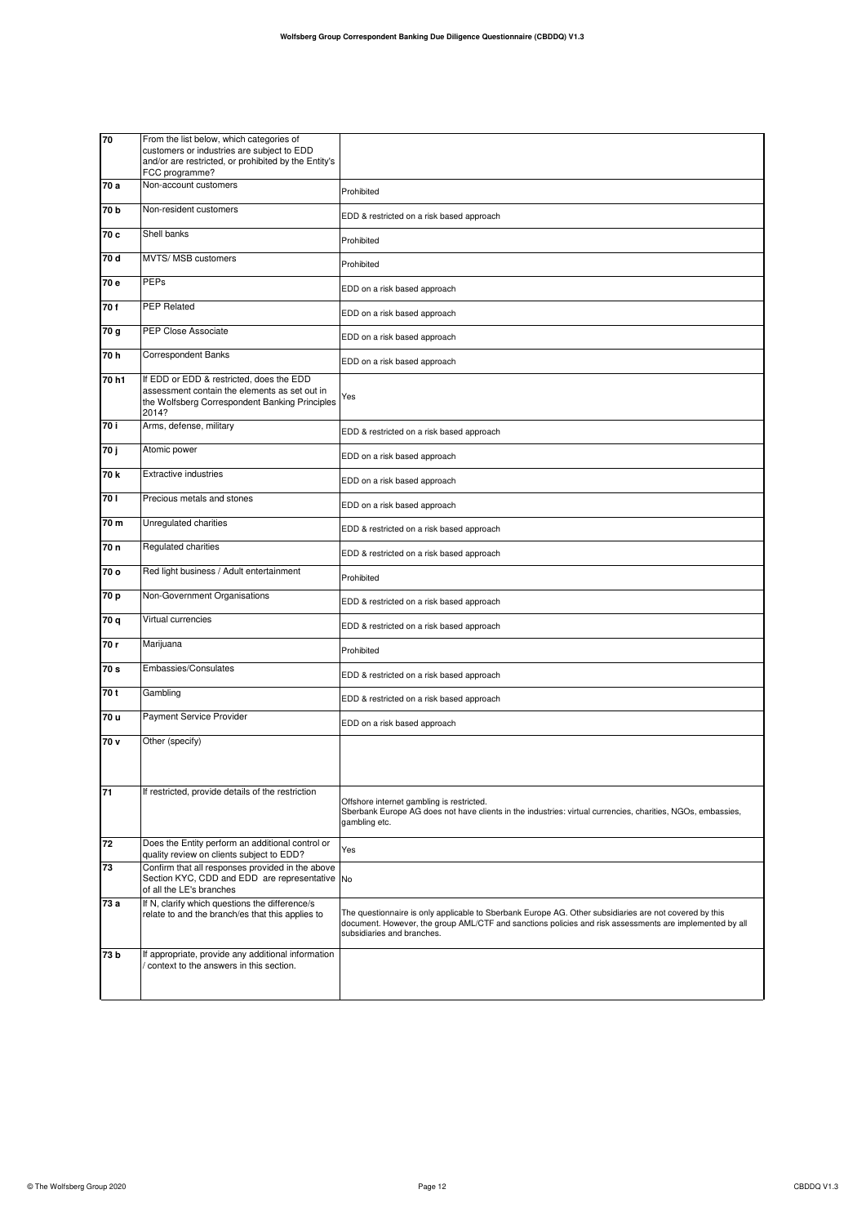| 70              | From the list below, which categories of                                                                                                             |                                                                                                                                                                                                                                                 |
|-----------------|------------------------------------------------------------------------------------------------------------------------------------------------------|-------------------------------------------------------------------------------------------------------------------------------------------------------------------------------------------------------------------------------------------------|
|                 | customers or industries are subject to EDD<br>and/or are restricted, or prohibited by the Entity's                                                   |                                                                                                                                                                                                                                                 |
|                 | FCC programme?                                                                                                                                       |                                                                                                                                                                                                                                                 |
| 70 a            | Non-account customers                                                                                                                                | Prohibited                                                                                                                                                                                                                                      |
| 70 <sub>b</sub> | Non-resident customers                                                                                                                               | EDD & restricted on a risk based approach                                                                                                                                                                                                       |
| 70 c            | Shell banks                                                                                                                                          | Prohibited                                                                                                                                                                                                                                      |
| 70 d            | MVTS/ MSB customers                                                                                                                                  | Prohibited                                                                                                                                                                                                                                      |
| 70 e            | PEPs                                                                                                                                                 | EDD on a risk based approach                                                                                                                                                                                                                    |
| 70f             | <b>PEP Related</b>                                                                                                                                   | EDD on a risk based approach                                                                                                                                                                                                                    |
| 70 g            | PEP Close Associate                                                                                                                                  | EDD on a risk based approach                                                                                                                                                                                                                    |
| 70 h            | <b>Correspondent Banks</b>                                                                                                                           | EDD on a risk based approach                                                                                                                                                                                                                    |
| 70h1            | If EDD or EDD & restricted, does the EDD<br>assessment contain the elements as set out in<br>the Wolfsberg Correspondent Banking Principles<br>2014? | Yes                                                                                                                                                                                                                                             |
| 70 i            | Arms, defense, military                                                                                                                              | EDD & restricted on a risk based approach                                                                                                                                                                                                       |
| 70 j            | Atomic power                                                                                                                                         | EDD on a risk based approach                                                                                                                                                                                                                    |
| 70 k            | <b>Extractive industries</b>                                                                                                                         | EDD on a risk based approach                                                                                                                                                                                                                    |
| 70 I            | Precious metals and stones                                                                                                                           | EDD on a risk based approach                                                                                                                                                                                                                    |
| 70 m            | Unregulated charities                                                                                                                                | EDD & restricted on a risk based approach                                                                                                                                                                                                       |
| 70 n            | Regulated charities                                                                                                                                  | EDD & restricted on a risk based approach                                                                                                                                                                                                       |
| 70 o            | Red light business / Adult entertainment                                                                                                             | Prohibited                                                                                                                                                                                                                                      |
| 70 p            | Non-Government Organisations                                                                                                                         | EDD & restricted on a risk based approach                                                                                                                                                                                                       |
| 70 q            | Virtual currencies                                                                                                                                   | EDD & restricted on a risk based approach                                                                                                                                                                                                       |
| 70 r            | Marijuana                                                                                                                                            | Prohibited                                                                                                                                                                                                                                      |
| 70 s            | Embassies/Consulates                                                                                                                                 | EDD & restricted on a risk based approach                                                                                                                                                                                                       |
| 70 t            | Gambling                                                                                                                                             | EDD & restricted on a risk based approach                                                                                                                                                                                                       |
| 70 u            | Payment Service Provider                                                                                                                             | EDD on a risk based approach                                                                                                                                                                                                                    |
| 70 v            | Other (specify)                                                                                                                                      |                                                                                                                                                                                                                                                 |
| 71              | If restricted, provide details of the restriction                                                                                                    | Offshore internet gambling is restricted.<br>Sberbank Europe AG does not have clients in the industries: virtual currencies, charities, NGOs, embassies,<br>gambling etc.                                                                       |
| 72              | Does the Entity perform an additional control or<br>quality review on clients subject to EDD?                                                        | Yes                                                                                                                                                                                                                                             |
| 73              | Confirm that all responses provided in the above<br>Section KYC, CDD and EDD are representative No<br>of all the LE's branches                       |                                                                                                                                                                                                                                                 |
| 73 a            | If N, clarify which questions the difference/s<br>relate to and the branch/es that this applies to                                                   | The questionnaire is only applicable to Sberbank Europe AG. Other subsidiaries are not covered by this<br>document. However, the group AML/CTF and sanctions policies and risk assessments are implemented by all<br>subsidiaries and branches. |
| 73 b            | If appropriate, provide any additional information<br>context to the answers in this section.                                                        |                                                                                                                                                                                                                                                 |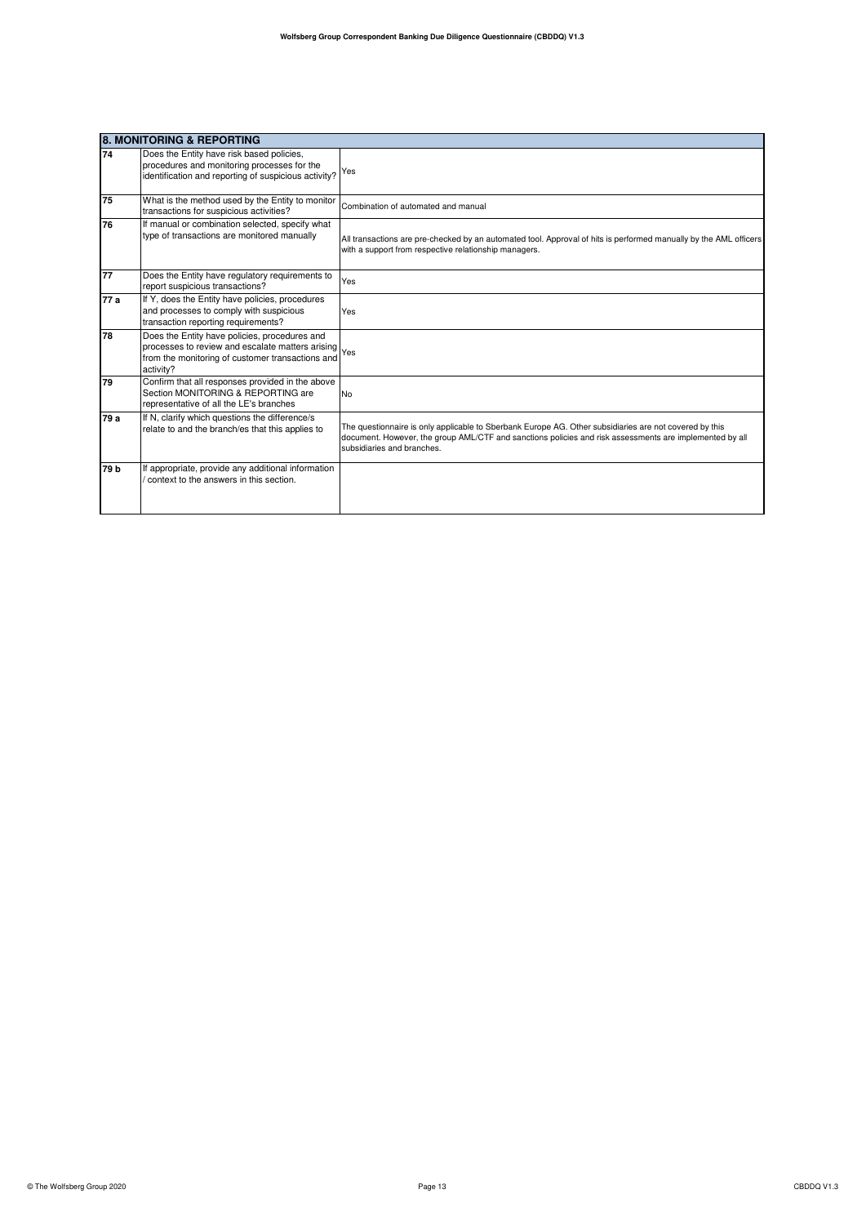|                 | <b>8. MONITORING &amp; REPORTING</b>                                                                                                                               |                                                                                                                                                                                                                                                 |  |
|-----------------|--------------------------------------------------------------------------------------------------------------------------------------------------------------------|-------------------------------------------------------------------------------------------------------------------------------------------------------------------------------------------------------------------------------------------------|--|
| 74              | Does the Entity have risk based policies,<br>procedures and monitoring processes for the<br>identification and reporting of suspicious activity?                   | Yes                                                                                                                                                                                                                                             |  |
| 75              | What is the method used by the Entity to monitor<br>transactions for suspicious activities?                                                                        | Combination of automated and manual                                                                                                                                                                                                             |  |
| 76              | If manual or combination selected, specify what<br>type of transactions are monitored manually                                                                     | All transactions are pre-checked by an automated tool. Approval of hits is performed manually by the AML officers<br>with a support from respective relationship managers.                                                                      |  |
| 77              | Does the Entity have regulatory requirements to<br>report suspicious transactions?                                                                                 | Yes                                                                                                                                                                                                                                             |  |
| 77 a            | If Y, does the Entity have policies, procedures<br>and processes to comply with suspicious<br>transaction reporting requirements?                                  | Yes                                                                                                                                                                                                                                             |  |
| 78              | Does the Entity have policies, procedures and<br>processes to review and escalate matters arising<br>from the monitoring of customer transactions and<br>activity? | Yes                                                                                                                                                                                                                                             |  |
| 79              | Confirm that all responses provided in the above<br>Section MONITORING & REPORTING are<br>representative of all the LE's branches                                  | <b>No</b>                                                                                                                                                                                                                                       |  |
| 79 a            | If N, clarify which questions the difference/s<br>relate to and the branch/es that this applies to                                                                 | The questionnaire is only applicable to Sberbank Europe AG. Other subsidiaries are not covered by this<br>document. However, the group AML/CTF and sanctions policies and risk assessments are implemented by all<br>subsidiaries and branches. |  |
| 79 <sub>b</sub> | If appropriate, provide any additional information<br>context to the answers in this section.                                                                      |                                                                                                                                                                                                                                                 |  |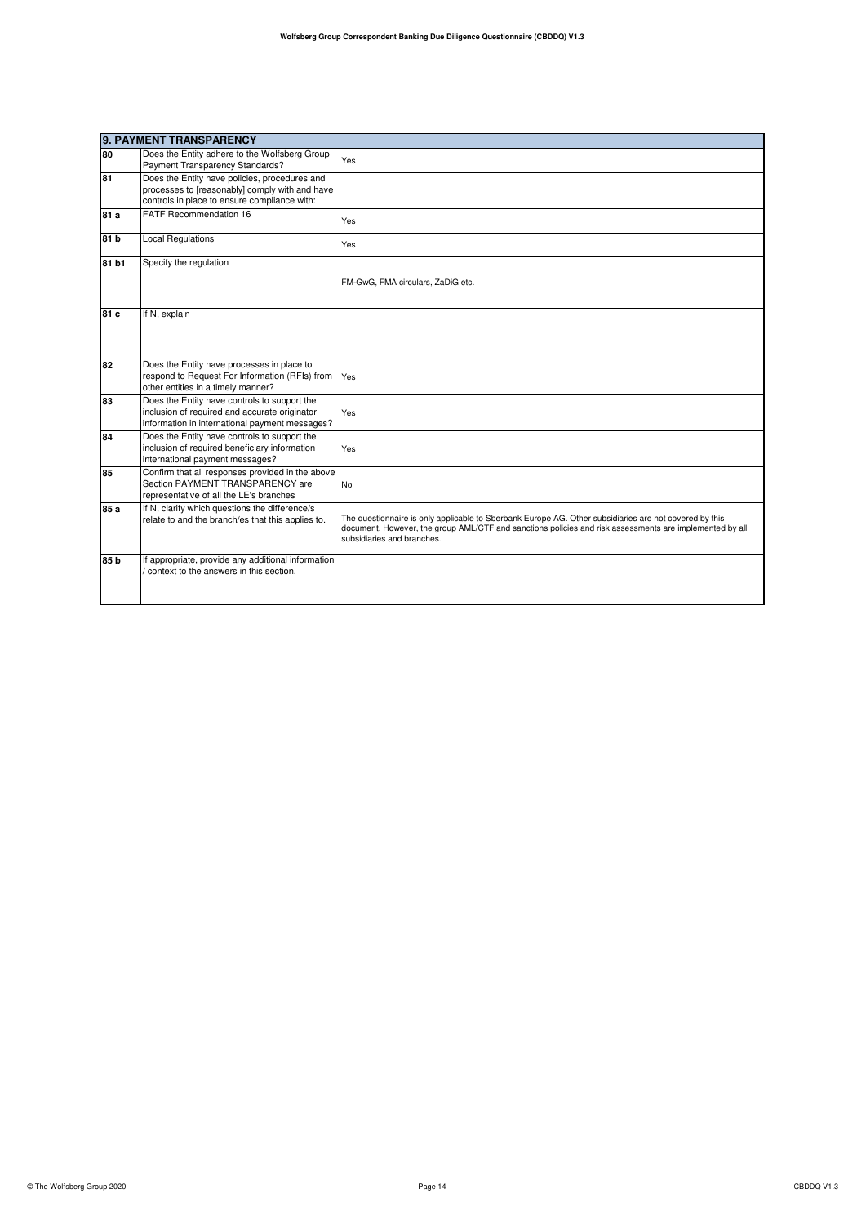|       | 9. PAYMENT TRANSPARENCY                                                                                                                         |                                                                                                                                                                                                                                                 |  |
|-------|-------------------------------------------------------------------------------------------------------------------------------------------------|-------------------------------------------------------------------------------------------------------------------------------------------------------------------------------------------------------------------------------------------------|--|
| 80    | Does the Entity adhere to the Wolfsberg Group                                                                                                   | Yes                                                                                                                                                                                                                                             |  |
|       | Payment Transparency Standards?                                                                                                                 |                                                                                                                                                                                                                                                 |  |
| 81    | Does the Entity have policies, procedures and<br>processes to [reasonably] comply with and have                                                 |                                                                                                                                                                                                                                                 |  |
|       | controls in place to ensure compliance with:                                                                                                    |                                                                                                                                                                                                                                                 |  |
|       | <b>FATF Recommendation 16</b>                                                                                                                   |                                                                                                                                                                                                                                                 |  |
| 81 a  |                                                                                                                                                 | Yes                                                                                                                                                                                                                                             |  |
| 81 b  | <b>Local Regulations</b>                                                                                                                        | Yes                                                                                                                                                                                                                                             |  |
| 81 b1 | Specify the regulation                                                                                                                          |                                                                                                                                                                                                                                                 |  |
|       |                                                                                                                                                 | FM-GwG, FMA circulars, ZaDiG etc.                                                                                                                                                                                                               |  |
| 81 c  | If N, explain                                                                                                                                   |                                                                                                                                                                                                                                                 |  |
| 82    | Does the Entity have processes in place to<br>respond to Request For Information (RFIs) from<br>other entities in a timely manner?              | Yes                                                                                                                                                                                                                                             |  |
| 83    | Does the Entity have controls to support the<br>inclusion of required and accurate originator<br>information in international payment messages? | Yes                                                                                                                                                                                                                                             |  |
| 84    | Does the Entity have controls to support the<br>inclusion of required beneficiary information<br>international payment messages?                | Yes                                                                                                                                                                                                                                             |  |
| 85    | Confirm that all responses provided in the above<br>Section PAYMENT TRANSPARENCY are<br>representative of all the LE's branches                 | No                                                                                                                                                                                                                                              |  |
| 85 a  | If N, clarify which questions the difference/s<br>relate to and the branch/es that this applies to.                                             | The questionnaire is only applicable to Sberbank Europe AG. Other subsidiaries are not covered by this<br>document. However, the group AML/CTF and sanctions policies and risk assessments are implemented by all<br>subsidiaries and branches. |  |
| 85 b  | If appropriate, provide any additional information<br>/ context to the answers in this section.                                                 |                                                                                                                                                                                                                                                 |  |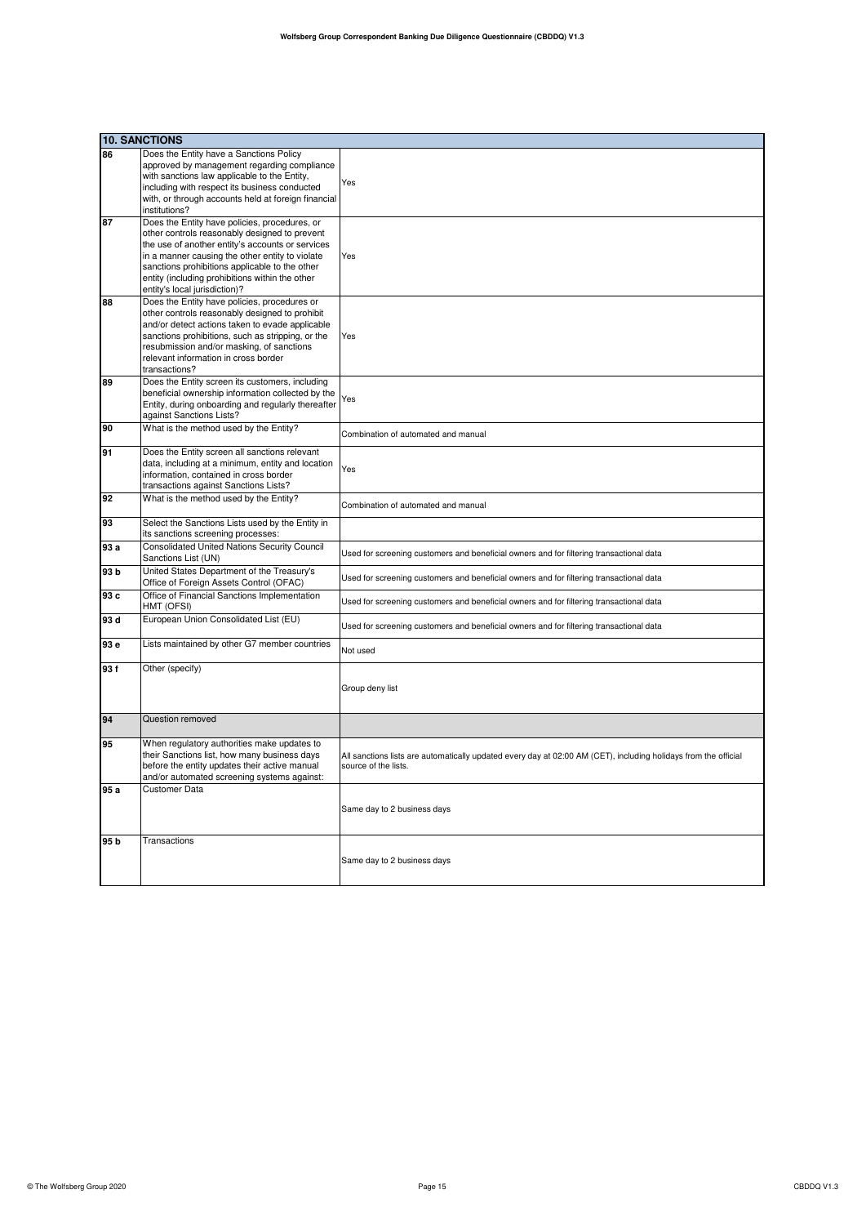|      | <b>10. SANCTIONS</b>                                                                                                                                                                                                                                                                                                                        |                                                                                                                                         |
|------|---------------------------------------------------------------------------------------------------------------------------------------------------------------------------------------------------------------------------------------------------------------------------------------------------------------------------------------------|-----------------------------------------------------------------------------------------------------------------------------------------|
| 86   | Does the Entity have a Sanctions Policy<br>approved by management regarding compliance<br>with sanctions law applicable to the Entity,<br>including with respect its business conducted<br>with, or through accounts held at foreign financial<br>institutions?                                                                             | Yes                                                                                                                                     |
| 87   | Does the Entity have policies, procedures, or<br>other controls reasonably designed to prevent<br>the use of another entity's accounts or services<br>in a manner causing the other entity to violate<br>sanctions prohibitions applicable to the other<br>entity (including prohibitions within the other<br>entity's local jurisdiction)? | Yes                                                                                                                                     |
| 88   | Does the Entity have policies, procedures or<br>other controls reasonably designed to prohibit<br>and/or detect actions taken to evade applicable<br>sanctions prohibitions, such as stripping, or the<br>resubmission and/or masking, of sanctions<br>relevant information in cross border<br>transactions?                                | Yes                                                                                                                                     |
| 89   | Does the Entity screen its customers, including<br>beneficial ownership information collected by the<br>Entity, during onboarding and regularly thereafter<br>against Sanctions Lists?                                                                                                                                                      | Yes                                                                                                                                     |
| 90   | What is the method used by the Entity?                                                                                                                                                                                                                                                                                                      | Combination of automated and manual                                                                                                     |
| 91   | Does the Entity screen all sanctions relevant<br>data, including at a minimum, entity and location<br>information, contained in cross border<br>transactions against Sanctions Lists?                                                                                                                                                       | Yes                                                                                                                                     |
| 92   | What is the method used by the Entity?                                                                                                                                                                                                                                                                                                      | Combination of automated and manual                                                                                                     |
| 93   | Select the Sanctions Lists used by the Entity in<br>its sanctions screening processes:                                                                                                                                                                                                                                                      |                                                                                                                                         |
| 93 a | <b>Consolidated United Nations Security Council</b><br>Sanctions List (UN)                                                                                                                                                                                                                                                                  | Used for screening customers and beneficial owners and for filtering transactional data                                                 |
| 93 b | United States Department of the Treasury's<br>Office of Foreign Assets Control (OFAC)                                                                                                                                                                                                                                                       | Used for screening customers and beneficial owners and for filtering transactional data                                                 |
| 93 c | Office of Financial Sanctions Implementation<br>HMT (OFSI)                                                                                                                                                                                                                                                                                  | Used for screening customers and beneficial owners and for filtering transactional data                                                 |
| 93 d | European Union Consolidated List (EU)                                                                                                                                                                                                                                                                                                       | Used for screening customers and beneficial owners and for filtering transactional data                                                 |
| 93 e | Lists maintained by other G7 member countries                                                                                                                                                                                                                                                                                               | Not used                                                                                                                                |
| 93f  | Other (specify)                                                                                                                                                                                                                                                                                                                             | Group deny list                                                                                                                         |
| 94   | Question removed                                                                                                                                                                                                                                                                                                                            |                                                                                                                                         |
| 95   | When regulatory authorities make updates to<br>their Sanctions list, how many business days<br>before the entity updates their active manual<br>and/or automated screening systems against:                                                                                                                                                 | All sanctions lists are automatically updated every day at 02:00 AM (CET), including holidays from the official<br>source of the lists. |
| 95 a | Customer Data                                                                                                                                                                                                                                                                                                                               | Same day to 2 business days                                                                                                             |
| 95 b | Transactions                                                                                                                                                                                                                                                                                                                                | Same day to 2 business days                                                                                                             |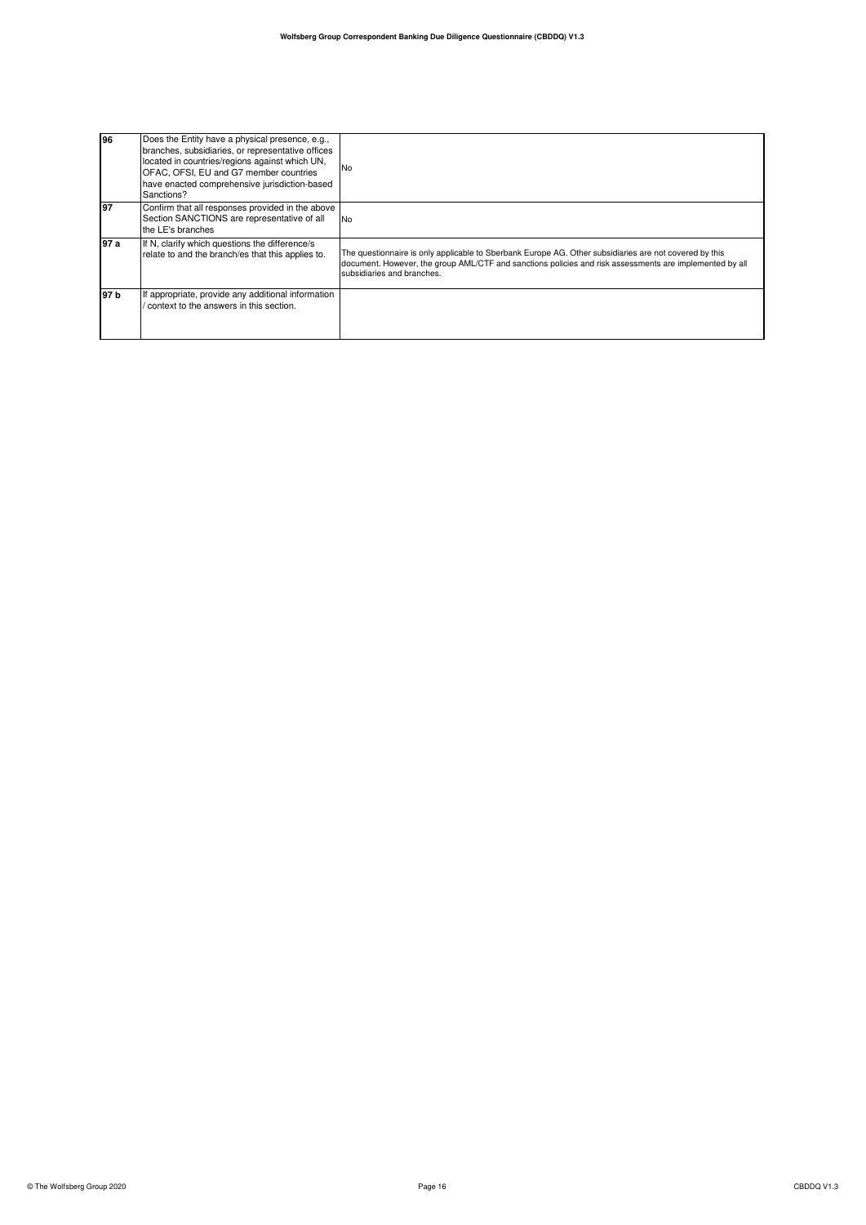| 196   | Does the Entity have a physical presence, e.g.,<br>branches, subsidiaries, or representative offices<br>located in countries/regions against which UN,<br>OFAC, OFSI, EU and G7 member countries<br>have enacted comprehensive jurisdiction-based<br>Sanctions? | <b>No</b>                                                                                                                                                                                                                                       |
|-------|-----------------------------------------------------------------------------------------------------------------------------------------------------------------------------------------------------------------------------------------------------------------|-------------------------------------------------------------------------------------------------------------------------------------------------------------------------------------------------------------------------------------------------|
| 197   | Confirm that all responses provided in the above<br>Section SANCTIONS are representative of all<br>the LE's branches                                                                                                                                            | <b>No</b>                                                                                                                                                                                                                                       |
| l97 a | If N, clarify which questions the difference/s<br>relate to and the branch/es that this applies to.                                                                                                                                                             | The questionnaire is only applicable to Sberbank Europe AG. Other subsidiaries are not covered by this<br>document. However, the group AML/CTF and sanctions policies and risk assessments are implemented by all<br>subsidiaries and branches. |
| 197 b | If appropriate, provide any additional information<br>context to the answers in this section.                                                                                                                                                                   |                                                                                                                                                                                                                                                 |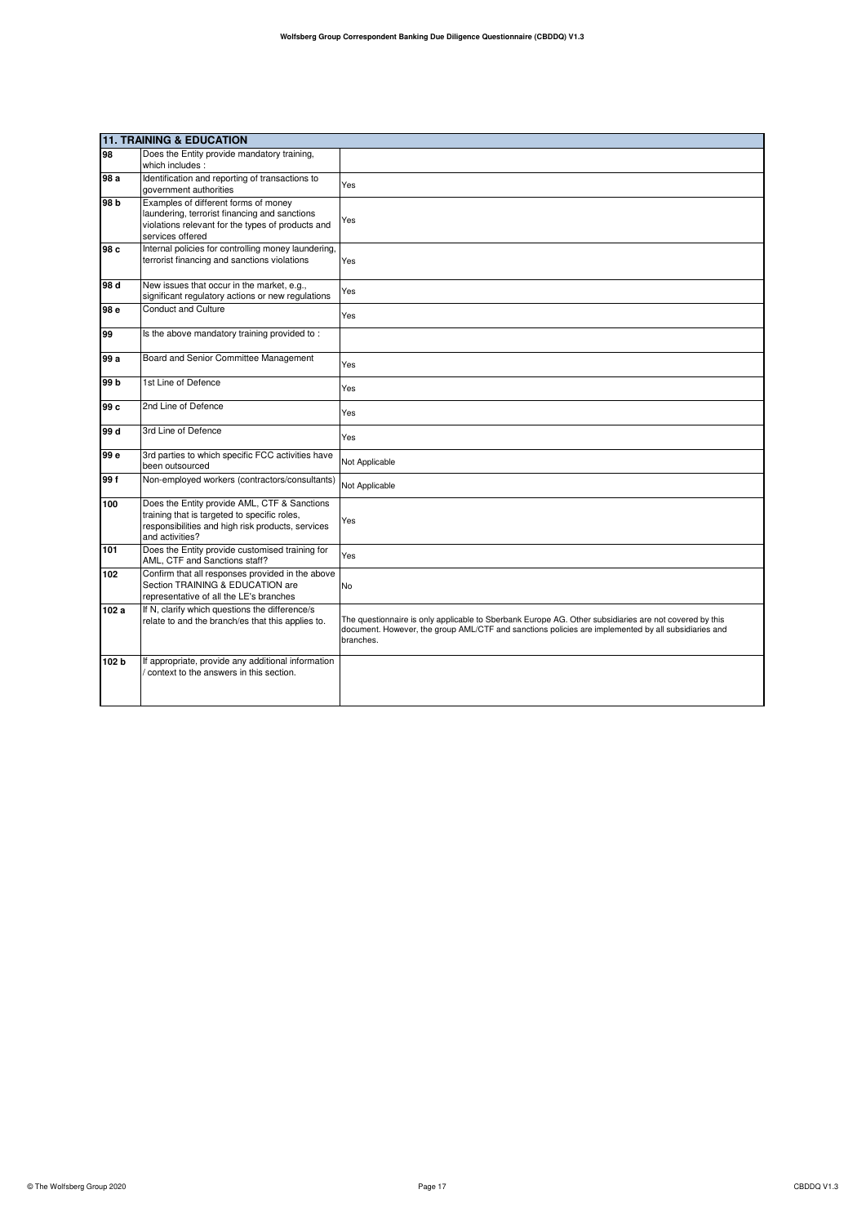|                 | 11. TRAINING & EDUCATION                                                                                                                                             |                                                                                                                                                                                                                            |  |
|-----------------|----------------------------------------------------------------------------------------------------------------------------------------------------------------------|----------------------------------------------------------------------------------------------------------------------------------------------------------------------------------------------------------------------------|--|
| 98              | Does the Entity provide mandatory training,<br>which includes:                                                                                                       |                                                                                                                                                                                                                            |  |
| 98 a            | Identification and reporting of transactions to<br>government authorities                                                                                            | Yes                                                                                                                                                                                                                        |  |
| 98 b            | Examples of different forms of money<br>laundering, terrorist financing and sanctions<br>violations relevant for the types of products and<br>services offered       | Yes                                                                                                                                                                                                                        |  |
| 98 c            | Internal policies for controlling money laundering,<br>terrorist financing and sanctions violations                                                                  | Yes                                                                                                                                                                                                                        |  |
| 98 d            | New issues that occur in the market, e.g.,<br>significant regulatory actions or new regulations                                                                      | Yes                                                                                                                                                                                                                        |  |
| 98 e            | <b>Conduct and Culture</b>                                                                                                                                           | Yes                                                                                                                                                                                                                        |  |
| 99              | Is the above mandatory training provided to:                                                                                                                         |                                                                                                                                                                                                                            |  |
| 99 a            | Board and Senior Committee Management                                                                                                                                | Yes                                                                                                                                                                                                                        |  |
| 99 <sub>b</sub> | 1st Line of Defence                                                                                                                                                  | Yes                                                                                                                                                                                                                        |  |
| 99 c            | 2nd Line of Defence                                                                                                                                                  | Yes                                                                                                                                                                                                                        |  |
| 99 d            | 3rd Line of Defence                                                                                                                                                  | Yes                                                                                                                                                                                                                        |  |
| 99 e            | 3rd parties to which specific FCC activities have<br>been outsourced                                                                                                 | Not Applicable                                                                                                                                                                                                             |  |
| 99 f            | Non-employed workers (contractors/consultants)                                                                                                                       | Not Applicable                                                                                                                                                                                                             |  |
| 100             | Does the Entity provide AML, CTF & Sanctions<br>training that is targeted to specific roles,<br>responsibilities and high risk products, services<br>and activities? | Yes                                                                                                                                                                                                                        |  |
| 101             | Does the Entity provide customised training for<br>AML, CTF and Sanctions staff?                                                                                     | Yes                                                                                                                                                                                                                        |  |
| 102             | Confirm that all responses provided in the above<br>Section TRAINING & EDUCATION are<br>representative of all the LE's branches                                      | No                                                                                                                                                                                                                         |  |
| 102 a           | If N, clarify which questions the difference/s<br>relate to and the branch/es that this applies to.                                                                  | The questionnaire is only applicable to Sberbank Europe AG. Other subsidiaries are not covered by this<br>document. However, the group AML/CTF and sanctions policies are implemented by all subsidiaries and<br>branches. |  |
| 102 b           | If appropriate, provide any additional information<br>context to the answers in this section.                                                                        |                                                                                                                                                                                                                            |  |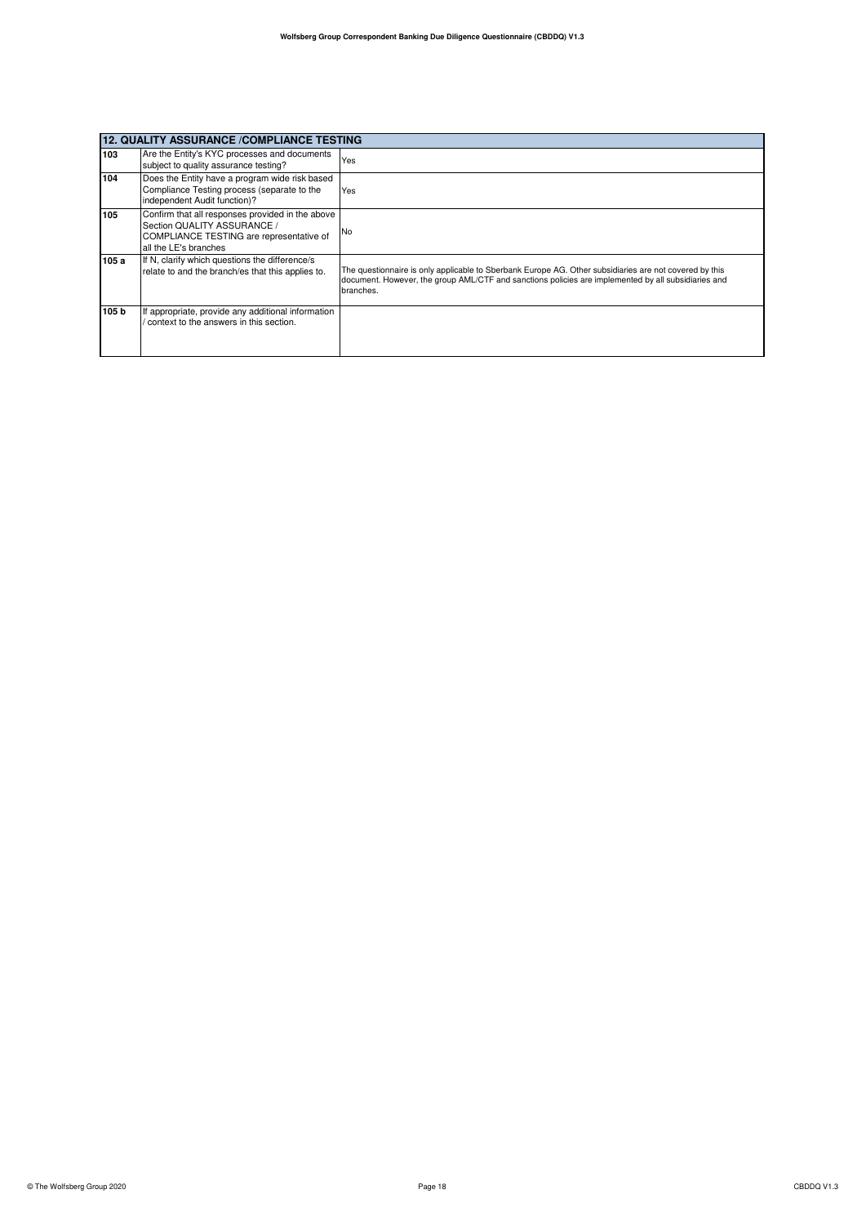| 12. QUALITY ASSURANCE /COMPLIANCE TESTING |                                                                                                                                                      |                                                                                                                                                                                                                            |
|-------------------------------------------|------------------------------------------------------------------------------------------------------------------------------------------------------|----------------------------------------------------------------------------------------------------------------------------------------------------------------------------------------------------------------------------|
| 103                                       | Are the Entity's KYC processes and documents<br>subject to quality assurance testing?                                                                | Yes                                                                                                                                                                                                                        |
| 104                                       | Does the Entity have a program wide risk based<br>Compliance Testing process (separate to the<br>independent Audit function)?                        | Yes                                                                                                                                                                                                                        |
| 105                                       | Confirm that all responses provided in the above<br>Section QUALITY ASSURANCE /<br>COMPLIANCE TESTING are representative of<br>all the LE's branches | No                                                                                                                                                                                                                         |
| 105 a                                     | If N, clarify which questions the difference/s<br>relate to and the branch/es that this applies to.                                                  | The questionnaire is only applicable to Sberbank Europe AG. Other subsidiaries are not covered by this<br>document. However, the group AML/CTF and sanctions policies are implemented by all subsidiaries and<br>branches. |
| 105 b                                     | If appropriate, provide any additional information<br>context to the answers in this section.                                                        |                                                                                                                                                                                                                            |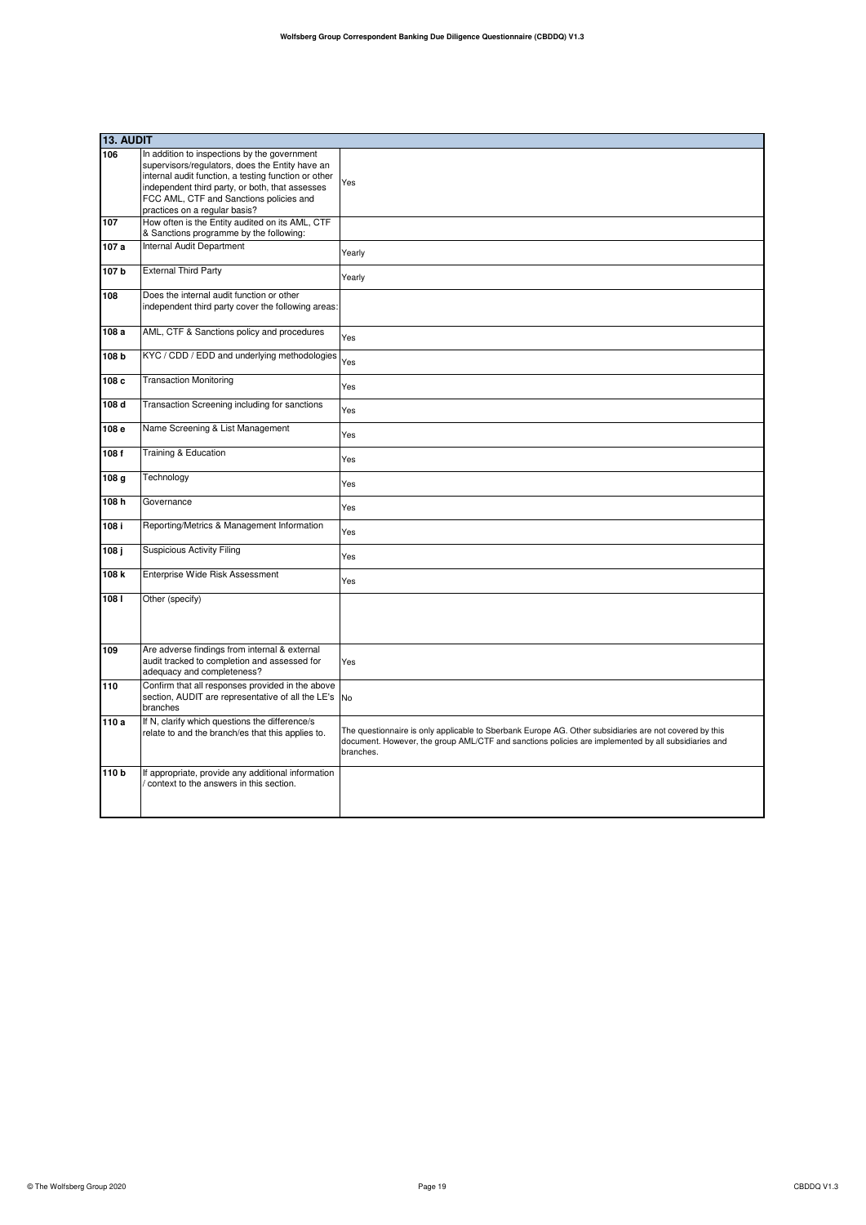|                  | 13. AUDIT                                                                                                                                                                                                                                                                              |                                                                                                                                                                                                                            |  |
|------------------|----------------------------------------------------------------------------------------------------------------------------------------------------------------------------------------------------------------------------------------------------------------------------------------|----------------------------------------------------------------------------------------------------------------------------------------------------------------------------------------------------------------------------|--|
| 106              | In addition to inspections by the government<br>supervisors/regulators, does the Entity have an<br>internal audit function, a testing function or other<br>independent third party, or both, that assesses<br>FCC AML, CTF and Sanctions policies and<br>practices on a regular basis? | Yes                                                                                                                                                                                                                        |  |
| 107              | How often is the Entity audited on its AML, CTF<br>& Sanctions programme by the following:                                                                                                                                                                                             |                                                                                                                                                                                                                            |  |
| 107 a            | Internal Audit Department                                                                                                                                                                                                                                                              | Yearly                                                                                                                                                                                                                     |  |
| 107b             | <b>External Third Party</b>                                                                                                                                                                                                                                                            | Yearly                                                                                                                                                                                                                     |  |
| 108              | Does the internal audit function or other<br>independent third party cover the following areas:                                                                                                                                                                                        |                                                                                                                                                                                                                            |  |
| 108 a            | AML, CTF & Sanctions policy and procedures                                                                                                                                                                                                                                             | Yes                                                                                                                                                                                                                        |  |
| 108 b            | KYC / CDD / EDD and underlying methodologies                                                                                                                                                                                                                                           | Yes                                                                                                                                                                                                                        |  |
| 108 c            | <b>Transaction Monitoring</b>                                                                                                                                                                                                                                                          | Yes                                                                                                                                                                                                                        |  |
| 108 d            | Transaction Screening including for sanctions                                                                                                                                                                                                                                          | Yes                                                                                                                                                                                                                        |  |
| 108 e            | Name Screening & List Management                                                                                                                                                                                                                                                       | Yes                                                                                                                                                                                                                        |  |
| 108f             | Training & Education                                                                                                                                                                                                                                                                   | Yes                                                                                                                                                                                                                        |  |
| 108 g            | Technology                                                                                                                                                                                                                                                                             | Yes                                                                                                                                                                                                                        |  |
| 108h             | Governance                                                                                                                                                                                                                                                                             | Yes                                                                                                                                                                                                                        |  |
| 108 i            | Reporting/Metrics & Management Information                                                                                                                                                                                                                                             | Yes                                                                                                                                                                                                                        |  |
| 108 ј            | <b>Suspicious Activity Filing</b>                                                                                                                                                                                                                                                      | Yes                                                                                                                                                                                                                        |  |
| 108 k            | Enterprise Wide Risk Assessment                                                                                                                                                                                                                                                        | Yes                                                                                                                                                                                                                        |  |
| 1081             | Other (specify)                                                                                                                                                                                                                                                                        |                                                                                                                                                                                                                            |  |
| 109              | Are adverse findings from internal & external<br>audit tracked to completion and assessed for<br>adequacy and completeness?                                                                                                                                                            | Yes                                                                                                                                                                                                                        |  |
| 110              | Confirm that all responses provided in the above<br>section, AUDIT are representative of all the LE's<br>branches                                                                                                                                                                      | <b>No</b>                                                                                                                                                                                                                  |  |
| 110 a            | If N, clarify which questions the difference/s<br>relate to and the branch/es that this applies to.                                                                                                                                                                                    | The questionnaire is only applicable to Sberbank Europe AG. Other subsidiaries are not covered by this<br>document. However, the group AML/CTF and sanctions policies are implemented by all subsidiaries and<br>branches. |  |
| 110 <sub>b</sub> | If appropriate, provide any additional information<br>context to the answers in this section.                                                                                                                                                                                          |                                                                                                                                                                                                                            |  |